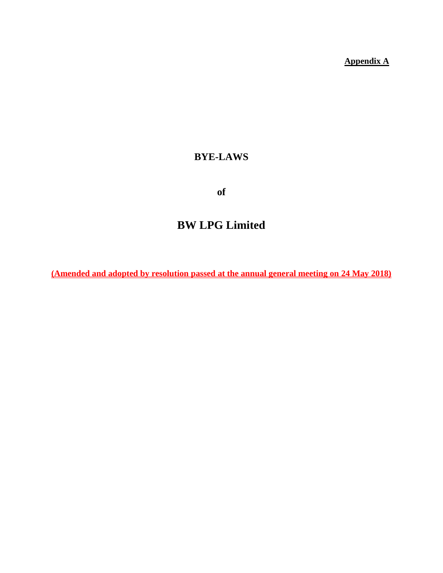**Appendix A**

# **BYE-LAWS**

**of**

# **BW LPG Limited**

**(Amended and adopted by resolution passed at the annual general meeting on 24 May 2018)**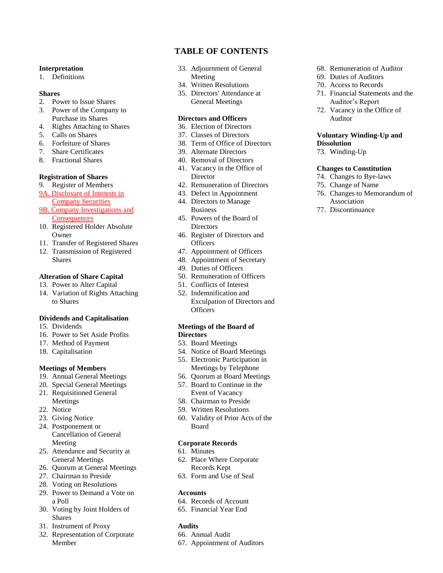#### **Interpretation**

1. Definitions

#### **Shares**

- 2. Power to Issue Shares
- 3. Power of the Company to Purchase its Shares
- 4. Rights Attaching to Shares
- 5. Calls on Shares
- 6. Forfeiture of Shares
- 7. Share Certificates
- 8. Fractional Shares

#### **Registration of Shares**

- 9. Register of Members
- 9A. Disclosure of Interests in **Company Securities**
- 9B. Company Investigations and **Consequences**
- 10. Registered Holder Absolute Owner
- 11. Transfer of Registered Shares
- 12. Transmission of Registered Shares

#### **Alteration of Share Capital**

- 13. Power to Alter Capital
- 14. Variation of Rights Attaching to Shares

#### **Dividends and Capitalisation**

- 15. Dividends
- 16. Power to Set Aside Profits
- 17. Method of Payment
- 18. Capitalisation

#### **Meetings of Members**

- 19. Annual General Meetings
- 20. Special General Meetings 21. Requisitioned General
- Meetings
- 22. Notice
- 23. Giving Notice
- 24. Postponement or Cancellation of General Meeting
- 25. Attendance and Security at General Meetings
- 26. Quorum at General Meetings
- 27. Chairman to Preside
- 28. Voting on Resolutions
- 29. Power to Demand a Vote on a Poll
- 30. Voting by Joint Holders of Shares
- 31. Instrument of Proxy
- 32. Representation of Corporate Member

# **TABLE OF CONTENTS**

- 33. Adjournment of General Meeting
- 34. Written Resolutions
- 35. Directors' Attendance at General Meetings

#### **Directors and Officers**

- 36. Election of Directors
- 37. Classes of Directors
- 38. Term of Office of Directors
- 39. Alternate Directors
- 40. Removal of Directors
- 41. Vacancy in the Office of Director
- 42. Remuneration of Directors
- 43. Defect in Appointment 44. Directors to Manage
- **Business**
- 45. Powers of the Board of **Directors**
- 46. Register of Directors and **Officers**
- 47. Appointment of Officers
- 48. Appointment of Secretary
- 49. Duties of Officers
- 50. Remuneration of Officers
- 51. Conflicts of Interest
- 52. Indemnification and Exculpation of Directors and **Officers**

#### **Meetings of the Board of Directors**

- 53. Board Meetings
- 54. Notice of Board Meetings
- 55. Electronic Participation in
- Meetings by Telephone
- 56. Quorum at Board Meetings
- 57. Board to Continue in the Event of Vacancy
- 58. Chairman to Preside
- 59. Written Resolutions
- 60. Validity of Prior Acts of the Board

#### **Corporate Records**

- 61. Minutes
- 62. Place Where Corporate Records Kept
- 63. Form and Use of Seal

#### **Accounts**

- 64. Records of Account
- 65. Financial Year End

#### **Audits**

- 66. Annual Audit
- 67. Appointment of Auditors
- 68. Remuneration of Auditor
- 69. Duties of Auditors
- 70. Access to Records
- 71. Financial Statements and the Auditor's Report
- 72. Vacancy in the Office of Auditor

#### **Voluntary Winding-Up and Dissolution**

73. Winding-Up

#### **Changes to Constitution**

- 74. Changes to Bye-laws
- 75. Change of Name
- 76. Changes to Memorandum of Association
- 77. Discontinuance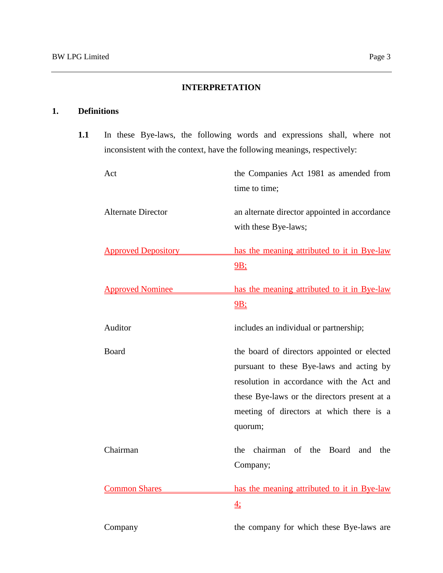# **INTERPRETATION**

# **1. Definitions**

**1.1** In these Bye-laws, the following words and expressions shall, where not inconsistent with the context, have the following meanings, respectively:

| Act                        | the Companies Act 1981 as amended from<br>time to time;                                                                                                                                                                                     |
|----------------------------|---------------------------------------------------------------------------------------------------------------------------------------------------------------------------------------------------------------------------------------------|
| <b>Alternate Director</b>  | an alternate director appointed in accordance<br>with these Bye-laws;                                                                                                                                                                       |
| <b>Approved Depository</b> | has the meaning attributed to it in Bye-law<br>$9B$ ;                                                                                                                                                                                       |
| <b>Approved Nominee</b>    | has the meaning attributed to it in Bye-law<br>$9B$ ;                                                                                                                                                                                       |
| Auditor                    | includes an individual or partnership;                                                                                                                                                                                                      |
| <b>Board</b>               | the board of directors appointed or elected<br>pursuant to these Bye-laws and acting by<br>resolution in accordance with the Act and<br>these Bye-laws or the directors present at a<br>meeting of directors at which there is a<br>quorum; |
| Chairman                   | chairman of the<br>Board<br>the<br>and<br>the<br>Company;                                                                                                                                                                                   |
| <b>Common Shares</b>       | has the meaning attributed to it in Bye-law<br>$\overline{4}$ :                                                                                                                                                                             |
| Company                    | the company for which these Bye-laws are                                                                                                                                                                                                    |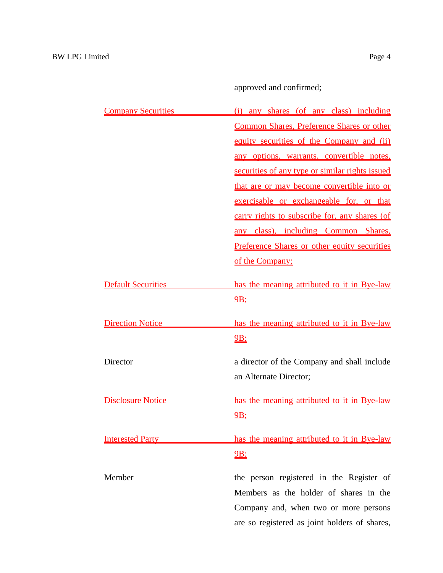approved and confirmed;

| <b>Company Securities</b> | (i) any shares (of any class) including         |
|---------------------------|-------------------------------------------------|
|                           | Common Shares, Preference Shares or other       |
|                           | equity securities of the Company and (ii)       |
|                           | any options, warrants, convertible notes,       |
|                           | securities of any type or similar rights issued |
|                           | that are or may become convertible into or      |
|                           | exercisable or exchangeable for, or that        |
|                           | carry rights to subscribe for, any shares (of   |
|                           | any class), including Common Shares,            |
|                           | Preference Shares or other equity securities    |
|                           | of the Company;                                 |
| <b>Default Securities</b> | has the meaning attributed to it in Bye-law     |
|                           | 9B                                              |
| <b>Direction Notice</b>   | has the meaning attributed to it in Bye-law     |
|                           | 9B;                                             |
| Director                  | a director of the Company and shall include     |
|                           | an Alternate Director;                          |
| <b>Disclosure Notice</b>  | has the meaning attributed to it in Bye-law     |
|                           | 9B;                                             |
| <u>Interested Party</u>   | has the meaning attributed to it in Bye-law     |
|                           | $9B$ :                                          |
| Member                    | the person registered in the Register of        |
|                           | Members as the holder of shares in the          |
|                           | Company and, when two or more persons           |
|                           | are so registered as joint holders of shares,   |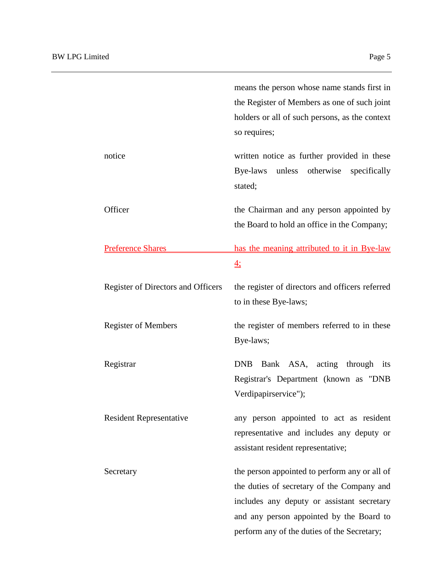|                                    | means the person whose name stands first in<br>the Register of Members as one of such joint<br>holders or all of such persons, as the context<br>so requires;                                                                        |
|------------------------------------|--------------------------------------------------------------------------------------------------------------------------------------------------------------------------------------------------------------------------------------|
| notice                             | written notice as further provided in these<br>Bye-laws unless otherwise specifically<br>stated;                                                                                                                                     |
| Officer                            | the Chairman and any person appointed by<br>the Board to hold an office in the Company;                                                                                                                                              |
| <b>Preference Shares</b>           | has the meaning attributed to it in Bye-law<br>$\overline{\overline{4}}$ :                                                                                                                                                           |
| Register of Directors and Officers | the register of directors and officers referred<br>to in these Bye-laws;                                                                                                                                                             |
| <b>Register of Members</b>         | the register of members referred to in these<br>Bye-laws;                                                                                                                                                                            |
| Registrar                          | Bank ASA, acting through<br><b>DNB</b><br>its<br>Registrar's Department (known as "DNB<br>Verdipapirservice");                                                                                                                       |
| <b>Resident Representative</b>     | any person appointed to act as resident<br>representative and includes any deputy or<br>assistant resident representative;                                                                                                           |
| Secretary                          | the person appointed to perform any or all of<br>the duties of secretary of the Company and<br>includes any deputy or assistant secretary<br>and any person appointed by the Board to<br>perform any of the duties of the Secretary; |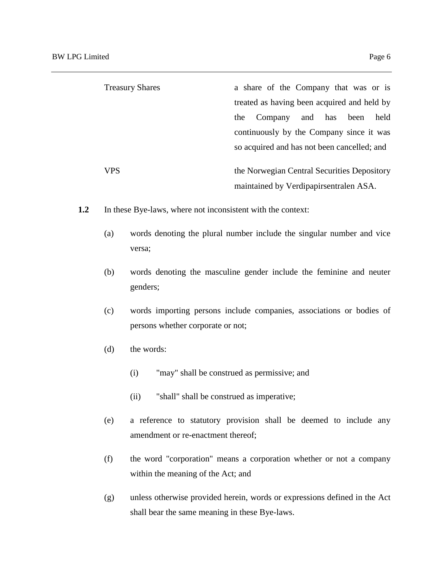| <b>Treasury Shares</b> | a share of the Company that was or is       |
|------------------------|---------------------------------------------|
|                        | treated as having been acquired and held by |
|                        | and has<br>been<br>held<br>Company<br>the   |
|                        | continuously by the Company since it was    |
|                        | so acquired and has not been cancelled; and |
| <b>VPS</b>             | the Norwegian Central Securities Depository |
|                        |                                             |
|                        | maintained by Verdipapirsentralen ASA.      |

- **1.2** In these Bye-laws, where not inconsistent with the context:
	- (a) words denoting the plural number include the singular number and vice versa;
	- (b) words denoting the masculine gender include the feminine and neuter genders;
	- (c) words importing persons include companies, associations or bodies of persons whether corporate or not;
	- (d) the words:
		- (i) "may" shall be construed as permissive; and
		- (ii) "shall" shall be construed as imperative;
	- (e) a reference to statutory provision shall be deemed to include any amendment or re-enactment thereof;
	- (f) the word "corporation" means a corporation whether or not a company within the meaning of the Act; and
	- (g) unless otherwise provided herein, words or expressions defined in the Act shall bear the same meaning in these Bye-laws.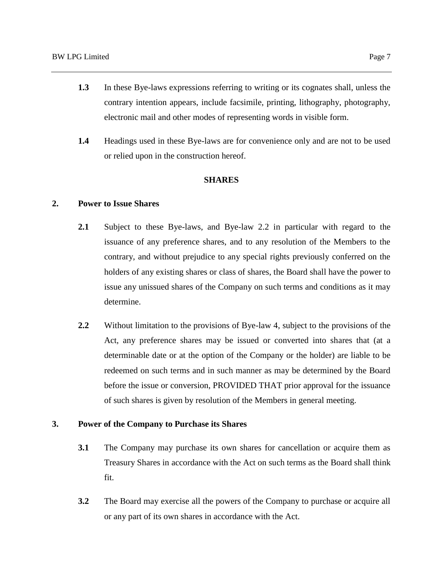- **1.3** In these Bye-laws expressions referring to writing or its cognates shall, unless the contrary intention appears, include facsimile, printing, lithography, photography, electronic mail and other modes of representing words in visible form.
- **1.4** Headings used in these Bye-laws are for convenience only and are not to be used or relied upon in the construction hereof.

## **SHARES**

# **2. Power to Issue Shares**

- **2.1** Subject to these Bye-laws, and Bye-law 2.2 in particular with regard to the issuance of any preference shares, and to any resolution of the Members to the contrary, and without prejudice to any special rights previously conferred on the holders of any existing shares or class of shares, the Board shall have the power to issue any unissued shares of the Company on such terms and conditions as it may determine.
- **2.2** Without limitation to the provisions of Bye-law 4, subject to the provisions of the Act, any preference shares may be issued or converted into shares that (at a determinable date or at the option of the Company or the holder) are liable to be redeemed on such terms and in such manner as may be determined by the Board before the issue or conversion, PROVIDED THAT prior approval for the issuance of such shares is given by resolution of the Members in general meeting.

# **3. Power of the Company to Purchase its Shares**

- **3.1** The Company may purchase its own shares for cancellation or acquire them as Treasury Shares in accordance with the Act on such terms as the Board shall think fit.
- **3.2** The Board may exercise all the powers of the Company to purchase or acquire all or any part of its own shares in accordance with the Act.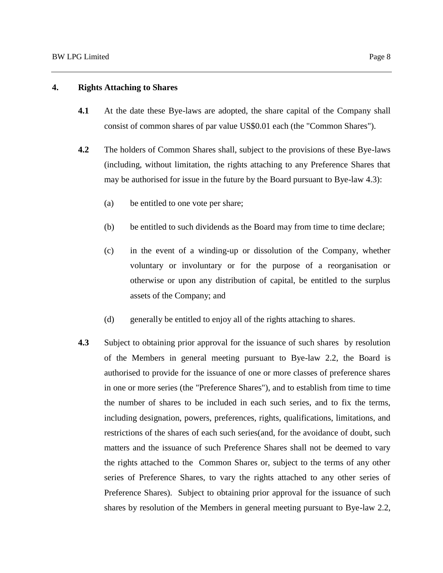# **4. Rights Attaching to Shares**

- **4.1** At the date these Bye-laws are adopted, the share capital of the Company shall consist of common shares of par value US\$0.01 each (the "Common Shares").
- **4.2** The holders of Common Shares shall, subject to the provisions of these Bye-laws (including, without limitation, the rights attaching to any Preference Shares that may be authorised for issue in the future by the Board pursuant to Bye-law 4.3):
	- (a) be entitled to one vote per share;
	- (b) be entitled to such dividends as the Board may from time to time declare;
	- (c) in the event of a winding-up or dissolution of the Company, whether voluntary or involuntary or for the purpose of a reorganisation or otherwise or upon any distribution of capital, be entitled to the surplus assets of the Company; and
	- (d) generally be entitled to enjoy all of the rights attaching to shares.
- **4.3** Subject to obtaining prior approval for the issuance of such shares by resolution of the Members in general meeting pursuant to Bye-law 2.2, the Board is authorised to provide for the issuance of one or more classes of preference shares in one or more series (the "Preference Shares"), and to establish from time to time the number of shares to be included in each such series, and to fix the terms, including designation, powers, preferences, rights, qualifications, limitations, and restrictions of the shares of each such series(and, for the avoidance of doubt, such matters and the issuance of such Preference Shares shall not be deemed to vary the rights attached to the Common Shares or, subject to the terms of any other series of Preference Shares, to vary the rights attached to any other series of Preference Shares). Subject to obtaining prior approval for the issuance of such shares by resolution of the Members in general meeting pursuant to Bye-law 2.2,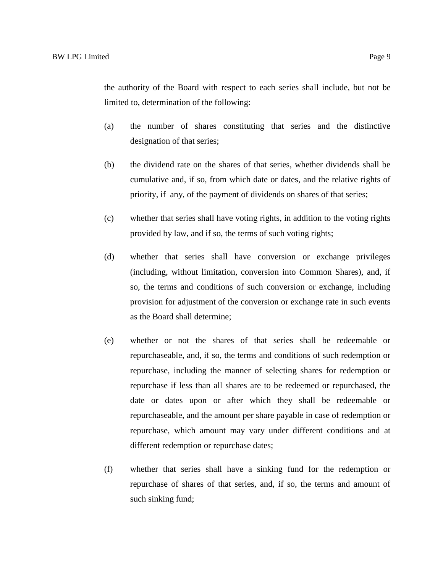the authority of the Board with respect to each series shall include, but not be limited to, determination of the following:

- (a) the number of shares constituting that series and the distinctive designation of that series;
- (b) the dividend rate on the shares of that series, whether dividends shall be cumulative and, if so, from which date or dates, and the relative rights of priority, if any, of the payment of dividends on shares of that series;
- (c) whether that series shall have voting rights, in addition to the voting rights provided by law, and if so, the terms of such voting rights;
- (d) whether that series shall have conversion or exchange privileges (including, without limitation, conversion into Common Shares), and, if so, the terms and conditions of such conversion or exchange, including provision for adjustment of the conversion or exchange rate in such events as the Board shall determine;
- (e) whether or not the shares of that series shall be redeemable or repurchaseable, and, if so, the terms and conditions of such redemption or repurchase, including the manner of selecting shares for redemption or repurchase if less than all shares are to be redeemed or repurchased, the date or dates upon or after which they shall be redeemable or repurchaseable, and the amount per share payable in case of redemption or repurchase, which amount may vary under different conditions and at different redemption or repurchase dates;
- (f) whether that series shall have a sinking fund for the redemption or repurchase of shares of that series, and, if so, the terms and amount of such sinking fund;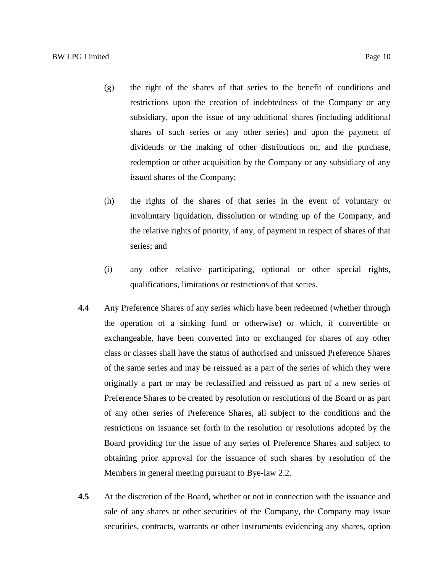- (g) the right of the shares of that series to the benefit of conditions and restrictions upon the creation of indebtedness of the Company or any subsidiary, upon the issue of any additional shares (including additional shares of such series or any other series) and upon the payment of dividends or the making of other distributions on, and the purchase, redemption or other acquisition by the Company or any subsidiary of any issued shares of the Company;
- (h) the rights of the shares of that series in the event of voluntary or involuntary liquidation, dissolution or winding up of the Company, and the relative rights of priority, if any, of payment in respect of shares of that series; and
- (i) any other relative participating, optional or other special rights, qualifications, limitations or restrictions of that series.
- **4.4** Any Preference Shares of any series which have been redeemed (whether through the operation of a sinking fund or otherwise) or which, if convertible or exchangeable, have been converted into or exchanged for shares of any other class or classes shall have the status of authorised and unissued Preference Shares of the same series and may be reissued as a part of the series of which they were originally a part or may be reclassified and reissued as part of a new series of Preference Shares to be created by resolution or resolutions of the Board or as part of any other series of Preference Shares, all subject to the conditions and the restrictions on issuance set forth in the resolution or resolutions adopted by the Board providing for the issue of any series of Preference Shares and subject to obtaining prior approval for the issuance of such shares by resolution of the Members in general meeting pursuant to Bye-law 2.2.
- **4.5** At the discretion of the Board, whether or not in connection with the issuance and sale of any shares or other securities of the Company, the Company may issue securities, contracts, warrants or other instruments evidencing any shares, option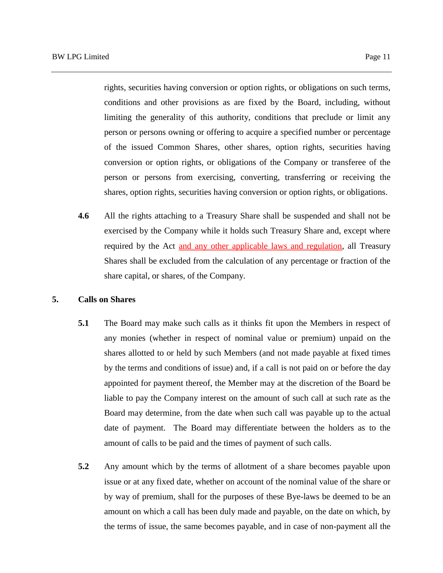rights, securities having conversion or option rights, or obligations on such terms, conditions and other provisions as are fixed by the Board, including, without limiting the generality of this authority, conditions that preclude or limit any person or persons owning or offering to acquire a specified number or percentage of the issued Common Shares, other shares, option rights, securities having conversion or option rights, or obligations of the Company or transferee of the person or persons from exercising, converting, transferring or receiving the shares, option rights, securities having conversion or option rights, or obligations.

**4.6** All the rights attaching to a Treasury Share shall be suspended and shall not be exercised by the Company while it holds such Treasury Share and, except where required by the Act and any other applicable laws and regulation, all Treasury Shares shall be excluded from the calculation of any percentage or fraction of the share capital, or shares, of the Company.

#### **5. Calls on Shares**

- **5.1** The Board may make such calls as it thinks fit upon the Members in respect of any monies (whether in respect of nominal value or premium) unpaid on the shares allotted to or held by such Members (and not made payable at fixed times by the terms and conditions of issue) and, if a call is not paid on or before the day appointed for payment thereof, the Member may at the discretion of the Board be liable to pay the Company interest on the amount of such call at such rate as the Board may determine, from the date when such call was payable up to the actual date of payment. The Board may differentiate between the holders as to the amount of calls to be paid and the times of payment of such calls.
- **5.2** Any amount which by the terms of allotment of a share becomes payable upon issue or at any fixed date, whether on account of the nominal value of the share or by way of premium, shall for the purposes of these Bye-laws be deemed to be an amount on which a call has been duly made and payable, on the date on which, by the terms of issue, the same becomes payable, and in case of non-payment all the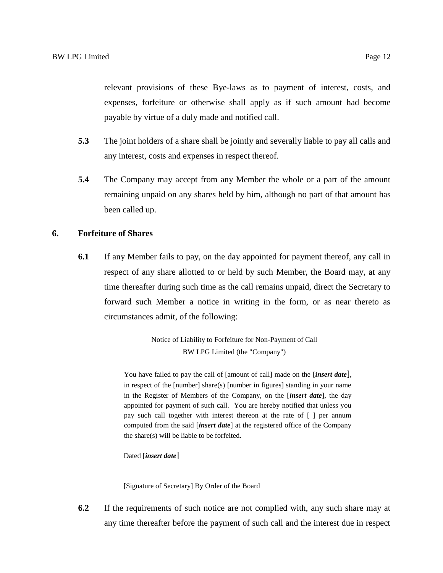relevant provisions of these Bye-laws as to payment of interest, costs, and expenses, forfeiture or otherwise shall apply as if such amount had become payable by virtue of a duly made and notified call.

- **5.3** The joint holders of a share shall be jointly and severally liable to pay all calls and any interest, costs and expenses in respect thereof.
- **5.4** The Company may accept from any Member the whole or a part of the amount remaining unpaid on any shares held by him, although no part of that amount has been called up.

## **6. Forfeiture of Shares**

**6.1** If any Member fails to pay, on the day appointed for payment thereof, any call in respect of any share allotted to or held by such Member, the Board may, at any time thereafter during such time as the call remains unpaid, direct the Secretary to forward such Member a notice in writing in the form, or as near thereto as circumstances admit, of the following:

> Notice of Liability to Forfeiture for Non-Payment of Call BW LPG Limited (the "Company")

You have failed to pay the call of [amount of call] made on the **[***insert date*], in respect of the [number] share(s) [number in figures] standing in your name in the Register of Members of the Company, on the [*insert date*], the day appointed for payment of such call. You are hereby notified that unless you pay such call together with interest thereon at the rate of [ ] per annum computed from the said [*insert date*] at the registered office of the Company the share(s) will be liable to be forfeited.

Dated [*insert date*]

[Signature of Secretary] By Order of the Board

**6.2** If the requirements of such notice are not complied with, any such share may at any time thereafter before the payment of such call and the interest due in respect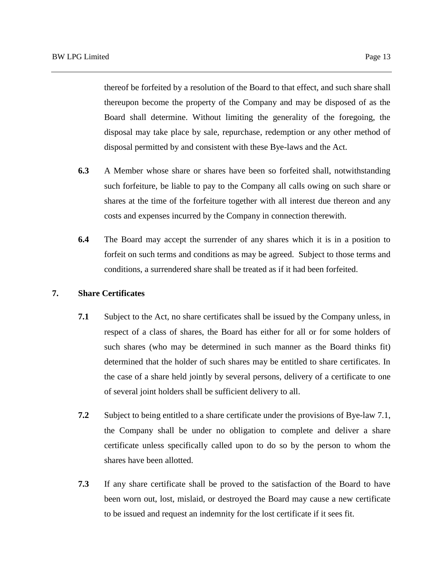thereof be forfeited by a resolution of the Board to that effect, and such share shall thereupon become the property of the Company and may be disposed of as the Board shall determine. Without limiting the generality of the foregoing, the disposal may take place by sale, repurchase, redemption or any other method of disposal permitted by and consistent with these Bye-laws and the Act.

- **6.3** A Member whose share or shares have been so forfeited shall, notwithstanding such forfeiture, be liable to pay to the Company all calls owing on such share or shares at the time of the forfeiture together with all interest due thereon and any costs and expenses incurred by the Company in connection therewith.
- **6.4** The Board may accept the surrender of any shares which it is in a position to forfeit on such terms and conditions as may be agreed. Subject to those terms and conditions, a surrendered share shall be treated as if it had been forfeited.

#### **7. Share Certificates**

- **7.1** Subject to the Act, no share certificates shall be issued by the Company unless, in respect of a class of shares, the Board has either for all or for some holders of such shares (who may be determined in such manner as the Board thinks fit) determined that the holder of such shares may be entitled to share certificates. In the case of a share held jointly by several persons, delivery of a certificate to one of several joint holders shall be sufficient delivery to all.
- **7.2** Subject to being entitled to a share certificate under the provisions of Bye-law 7.1, the Company shall be under no obligation to complete and deliver a share certificate unless specifically called upon to do so by the person to whom the shares have been allotted.
- **7.3** If any share certificate shall be proved to the satisfaction of the Board to have been worn out, lost, mislaid, or destroyed the Board may cause a new certificate to be issued and request an indemnity for the lost certificate if it sees fit.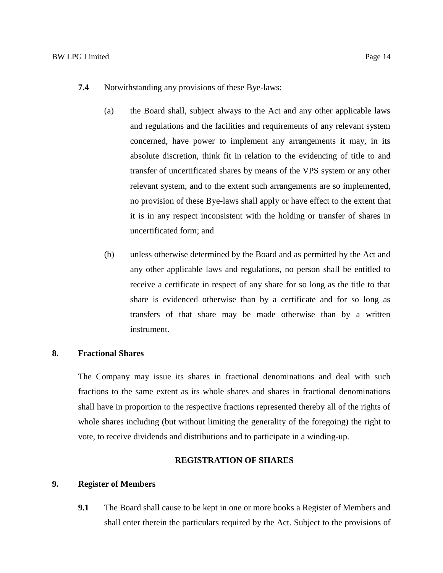- **7.4** Notwithstanding any provisions of these Bye-laws:
	- (a) the Board shall, subject always to the Act and any other applicable laws and regulations and the facilities and requirements of any relevant system concerned, have power to implement any arrangements it may, in its absolute discretion, think fit in relation to the evidencing of title to and transfer of uncertificated shares by means of the VPS system or any other relevant system, and to the extent such arrangements are so implemented, no provision of these Bye-laws shall apply or have effect to the extent that it is in any respect inconsistent with the holding or transfer of shares in uncertificated form; and
	- (b) unless otherwise determined by the Board and as permitted by the Act and any other applicable laws and regulations, no person shall be entitled to receive a certificate in respect of any share for so long as the title to that share is evidenced otherwise than by a certificate and for so long as transfers of that share may be made otherwise than by a written instrument.

#### **8. Fractional Shares**

The Company may issue its shares in fractional denominations and deal with such fractions to the same extent as its whole shares and shares in fractional denominations shall have in proportion to the respective fractions represented thereby all of the rights of whole shares including (but without limiting the generality of the foregoing) the right to vote, to receive dividends and distributions and to participate in a winding-up.

#### **REGISTRATION OF SHARES**

#### **9. Register of Members**

**9.1** The Board shall cause to be kept in one or more books a Register of Members and shall enter therein the particulars required by the Act. Subject to the provisions of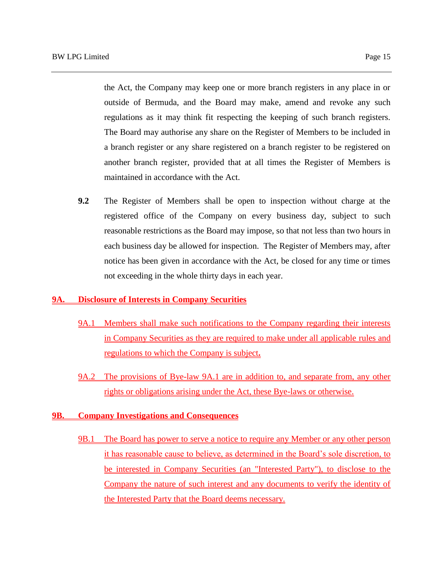the Act, the Company may keep one or more branch registers in any place in or outside of Bermuda, and the Board may make, amend and revoke any such regulations as it may think fit respecting the keeping of such branch registers. The Board may authorise any share on the Register of Members to be included in a branch register or any share registered on a branch register to be registered on another branch register, provided that at all times the Register of Members is

**9.2** The Register of Members shall be open to inspection without charge at the registered office of the Company on every business day, subject to such reasonable restrictions as the Board may impose, so that not less than two hours in each business day be allowed for inspection. The Register of Members may, after notice has been given in accordance with the Act, be closed for any time or times not exceeding in the whole thirty days in each year.

## **9A. Disclosure of Interests in Company Securities**

maintained in accordance with the Act.

- 9A.1 Members shall make such notifications to the Company regarding their interests in Company Securities as they are required to make under all applicable rules and regulations to which the Company is subject**.**
- 9A.2 The provisions of Bye-law 9A.1 are in addition to, and separate from, any other rights or obligations arising under the Act, these Bye-laws or otherwise.

## **9B. Company Investigations and Consequences**

9B.1 The Board has power to serve a notice to require any Member or any other person it has reasonable cause to believe, as determined in the Board's sole discretion, to be interested in Company Securities (an "Interested Party"), to disclose to the Company the nature of such interest and any documents to verify the identity of the Interested Party that the Board deems necessary.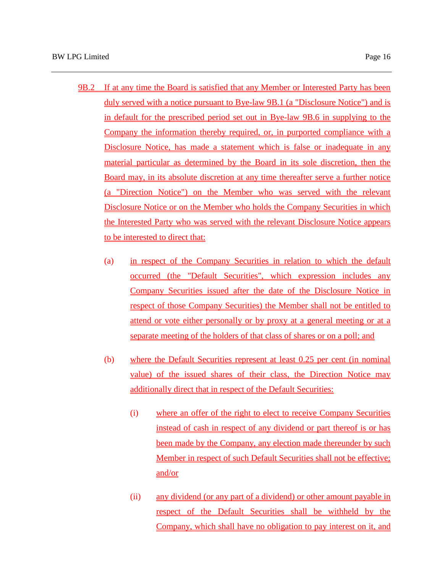- 9B.2 If at any time the Board is satisfied that any Member or Interested Party has been duly served with a notice pursuant to Bye-law 9B.1 (a "Disclosure Notice") and is in default for the prescribed period set out in Bye-law 9B.6 in supplying to the Company the information thereby required, or, in purported compliance with a Disclosure Notice, has made a statement which is false or inadequate in any material particular as determined by the Board in its sole discretion, then the Board may, in its absolute discretion at any time thereafter serve a further notice (a "Direction Notice") on the Member who was served with the relevant Disclosure Notice or on the Member who holds the Company Securities in which the Interested Party who was served with the relevant Disclosure Notice appears to be interested to direct that:
	- (a) in respect of the Company Securities in relation to which the default occurred (the "Default Securities", which expression includes any Company Securities issued after the date of the Disclosure Notice in respect of those Company Securities) the Member shall not be entitled to attend or vote either personally or by proxy at a general meeting or at a separate meeting of the holders of that class of shares or on a poll; and
	- (b) where the Default Securities represent at least 0.25 per cent (in nominal value) of the issued shares of their class, the Direction Notice may additionally direct that in respect of the Default Securities:
		- (i) where an offer of the right to elect to receive Company Securities instead of cash in respect of any dividend or part thereof is or has been made by the Company, any election made thereunder by such Member in respect of such Default Securities shall not be effective; and/or
		- (ii) any dividend (or any part of a dividend) or other amount payable in respect of the Default Securities shall be withheld by the Company, which shall have no obligation to pay interest on it, and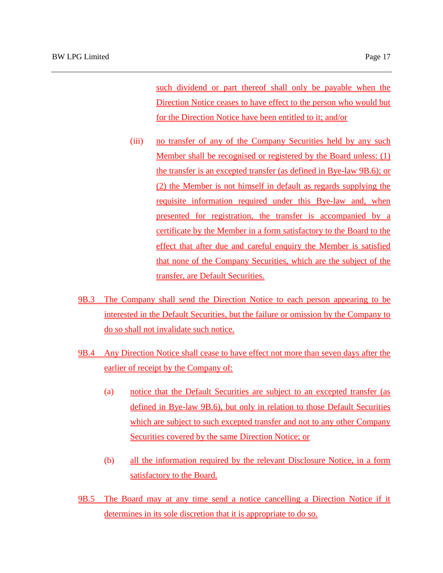such dividend or part thereof shall only be payable when the Direction Notice ceases to have effect to the person who would but for the Direction Notice have been entitled to it; and/or

- (iii) no transfer of any of the Company Securities held by any such Member shall be recognised or registered by the Board unless: (1) the transfer is an excepted transfer (as defined in Bye-law 9B.6); or (2) the Member is not himself in default as regards supplying the requisite information required under this Bye-law and, when presented for registration, the transfer is accompanied by a certificate by the Member in a form satisfactory to the Board to the effect that after due and careful enquiry the Member is satisfied that none of the Company Securities, which are the subject of the transfer, are Default Securities.
- 9B.3 The Company shall send the Direction Notice to each person appearing to be interested in the Default Securities, but the failure or omission by the Company to do so shall not invalidate such notice.
- 9B.4 Any Direction Notice shall cease to have effect not more than seven days after the earlier of receipt by the Company of:
	- (a) notice that the Default Securities are subject to an excepted transfer (as defined in Bye-law 9B.6), but only in relation to those Default Securities which are subject to such excepted transfer and not to any other Company Securities covered by the same Direction Notice; or
	- (b) all the information required by the relevant Disclosure Notice, in a form satisfactory to the Board.
- 9B.5 The Board may at any time send a notice cancelling a Direction Notice if it determines in its sole discretion that it is appropriate to do so.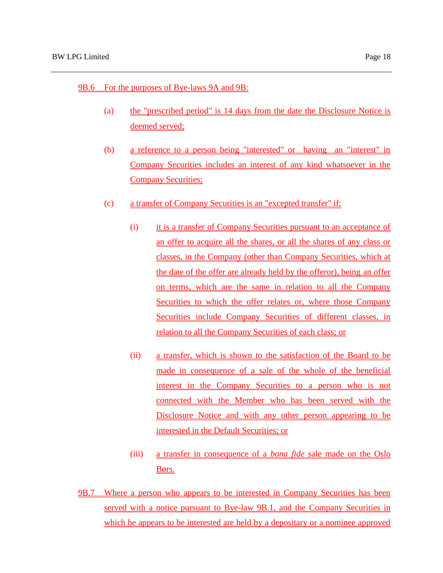## 9B.6 For the purposes of Bye-laws 9A and 9B:

- (a) the "prescribed period" is 14 days from the date the Disclosure Notice is deemed served;
- (b) a reference to a person being "interested" or having an "interest" in Company Securities includes an interest of any kind whatsoever in the Company Securities;
- (c) a transfer of Company Securities is an "excepted transfer" if:
	- (i) it is a transfer of Company Securities pursuant to an acceptance of an offer to acquire all the shares, or all the shares of any class or classes, in the Company (other than Company Securities, which at the date of the offer are already held by the offeror), being an offer on terms, which are the same in relation to all the Company Securities to which the offer relates or, where those Company Securities include Company Securities of different classes, in relation to all the Company Securities of each class; or
	- (ii) a transfer, which is shown to the satisfaction of the Board to be made in consequence of a sale of the whole of the beneficial interest in the Company Securities to a person who is not connected with the Member who has been served with the Disclosure Notice and with any other person appearing to be interested in the Default Securities; or
	- (iii) a transfer in consequence of a *bona fide* sale made on the Oslo Børs.
- 9B.7 Where a person who appears to be interested in Company Securities has been served with a notice pursuant to Bye-law 9B.1, and the Company Securities in which he appears to be interested are held by a depositary or a nominee approved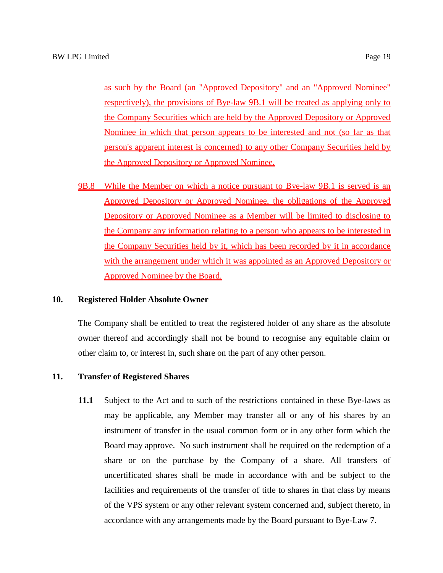as such by the Board (an "Approved Depository" and an "Approved Nominee" respectively), the provisions of Bye-law 9B.1 will be treated as applying only to the Company Securities which are held by the Approved Depository or Approved Nominee in which that person appears to be interested and not (so far as that person's apparent interest is concerned) to any other Company Securities held by the Approved Depository or Approved Nominee.

9B.8 While the Member on which a notice pursuant to Bye-law 9B.1 is served is an Approved Depository or Approved Nominee, the obligations of the Approved Depository or Approved Nominee as a Member will be limited to disclosing to the Company any information relating to a person who appears to be interested in the Company Securities held by it, which has been recorded by it in accordance with the arrangement under which it was appointed as an Approved Depository or Approved Nominee by the Board.

### **10. Registered Holder Absolute Owner**

The Company shall be entitled to treat the registered holder of any share as the absolute owner thereof and accordingly shall not be bound to recognise any equitable claim or other claim to, or interest in, such share on the part of any other person.

#### **11. Transfer of Registered Shares**

**11.1** Subject to the Act and to such of the restrictions contained in these Bye-laws as may be applicable, any Member may transfer all or any of his shares by an instrument of transfer in the usual common form or in any other form which the Board may approve. No such instrument shall be required on the redemption of a share or on the purchase by the Company of a share. All transfers of uncertificated shares shall be made in accordance with and be subject to the facilities and requirements of the transfer of title to shares in that class by means of the VPS system or any other relevant system concerned and, subject thereto, in accordance with any arrangements made by the Board pursuant to Bye-Law 7.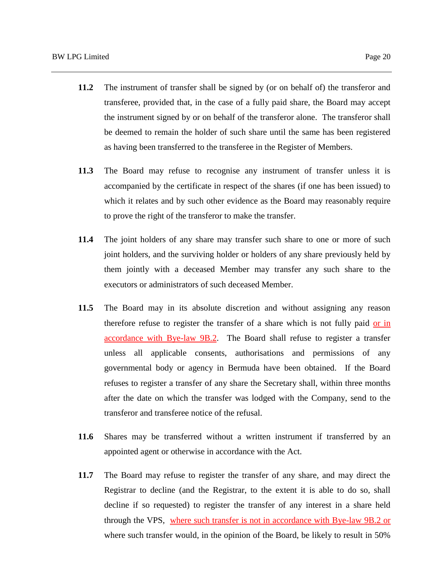- **11.2** The instrument of transfer shall be signed by (or on behalf of) the transferor and transferee, provided that, in the case of a fully paid share, the Board may accept the instrument signed by or on behalf of the transferor alone. The transferor shall be deemed to remain the holder of such share until the same has been registered as having been transferred to the transferee in the Register of Members.
- **11.3** The Board may refuse to recognise any instrument of transfer unless it is accompanied by the certificate in respect of the shares (if one has been issued) to which it relates and by such other evidence as the Board may reasonably require to prove the right of the transferor to make the transfer.
- **11.4** The joint holders of any share may transfer such share to one or more of such joint holders, and the surviving holder or holders of any share previously held by them jointly with a deceased Member may transfer any such share to the executors or administrators of such deceased Member.
- **11.5** The Board may in its absolute discretion and without assigning any reason therefore refuse to register the transfer of a share which is not fully paid or in accordance with Bye-law 9B.2. The Board shall refuse to register a transfer unless all applicable consents, authorisations and permissions of any governmental body or agency in Bermuda have been obtained. If the Board refuses to register a transfer of any share the Secretary shall, within three months after the date on which the transfer was lodged with the Company, send to the transferor and transferee notice of the refusal.
- **11.6** Shares may be transferred without a written instrument if transferred by an appointed agent or otherwise in accordance with the Act.
- **11.7** The Board may refuse to register the transfer of any share, and may direct the Registrar to decline (and the Registrar, to the extent it is able to do so, shall decline if so requested) to register the transfer of any interest in a share held through the VPS, where such transfer is not in accordance with Bye-law 9B.2 or where such transfer would, in the opinion of the Board, be likely to result in 50%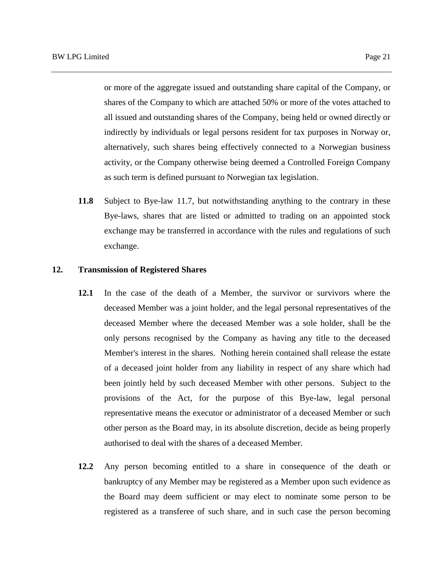or more of the aggregate issued and outstanding share capital of the Company, or shares of the Company to which are attached 50% or more of the votes attached to all issued and outstanding shares of the Company, being held or owned directly or indirectly by individuals or legal persons resident for tax purposes in Norway or, alternatively, such shares being effectively connected to a Norwegian business activity, or the Company otherwise being deemed a Controlled Foreign Company as such term is defined pursuant to Norwegian tax legislation.

**11.8** Subject to Bye-law 11.7, but notwithstanding anything to the contrary in these Bye-laws, shares that are listed or admitted to trading on an appointed stock exchange may be transferred in accordance with the rules and regulations of such exchange.

#### **12. Transmission of Registered Shares**

- **12.1** In the case of the death of a Member, the survivor or survivors where the deceased Member was a joint holder, and the legal personal representatives of the deceased Member where the deceased Member was a sole holder, shall be the only persons recognised by the Company as having any title to the deceased Member's interest in the shares. Nothing herein contained shall release the estate of a deceased joint holder from any liability in respect of any share which had been jointly held by such deceased Member with other persons. Subject to the provisions of the Act, for the purpose of this Bye-law, legal personal representative means the executor or administrator of a deceased Member or such other person as the Board may, in its absolute discretion, decide as being properly authorised to deal with the shares of a deceased Member.
- **12.2** Any person becoming entitled to a share in consequence of the death or bankruptcy of any Member may be registered as a Member upon such evidence as the Board may deem sufficient or may elect to nominate some person to be registered as a transferee of such share, and in such case the person becoming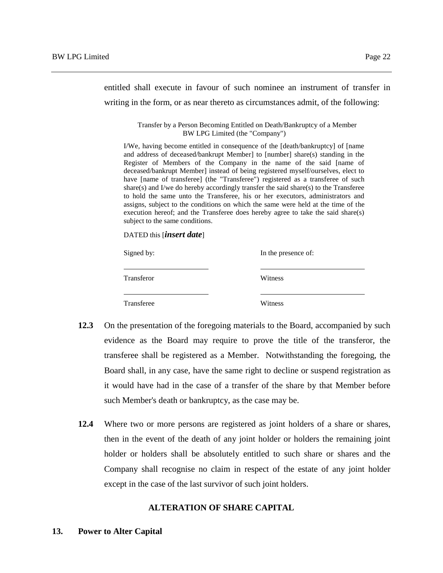entitled shall execute in favour of such nominee an instrument of transfer in writing in the form, or as near thereto as circumstances admit, of the following:

> Transfer by a Person Becoming Entitled on Death/Bankruptcy of a Member BW LPG Limited (the "Company")

I/We, having become entitled in consequence of the [death/bankruptcy] of [name and address of deceased/bankrupt Member] to [number] share(s) standing in the Register of Members of the Company in the name of the said [name of deceased/bankrupt Member] instead of being registered myself/ourselves, elect to have [name of transferee] (the "Transferee") registered as a transferee of such share(s) and I/we do hereby accordingly transfer the said share(s) to the Transferee to hold the same unto the Transferee, his or her executors, administrators and assigns, subject to the conditions on which the same were held at the time of the execution hereof; and the Transferee does hereby agree to take the said share(s) subject to the same conditions.

DATED this [*insert date*]

| Signed by: | In the presence of: |  |
|------------|---------------------|--|
| Transferor | Witness             |  |
| Transferee | Witness             |  |

- **12.3** On the presentation of the foregoing materials to the Board, accompanied by such evidence as the Board may require to prove the title of the transferor, the transferee shall be registered as a Member. Notwithstanding the foregoing, the Board shall, in any case, have the same right to decline or suspend registration as it would have had in the case of a transfer of the share by that Member before such Member's death or bankruptcy, as the case may be.
- **12.4** Where two or more persons are registered as joint holders of a share or shares, then in the event of the death of any joint holder or holders the remaining joint holder or holders shall be absolutely entitled to such share or shares and the Company shall recognise no claim in respect of the estate of any joint holder except in the case of the last survivor of such joint holders.

#### **ALTERATION OF SHARE CAPITAL**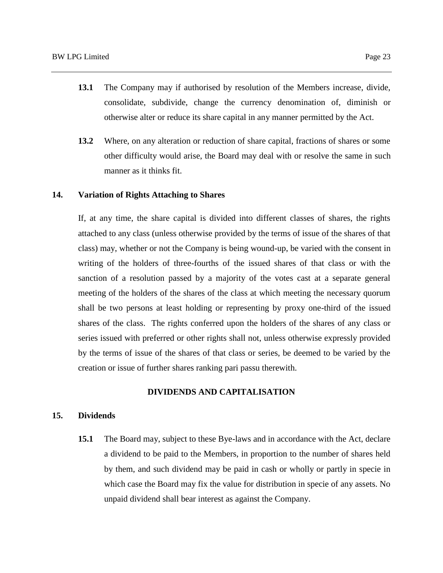- **13.1** The Company may if authorised by resolution of the Members increase, divide, consolidate, subdivide, change the currency denomination of, diminish or otherwise alter or reduce its share capital in any manner permitted by the Act.
- **13.2** Where, on any alteration or reduction of share capital, fractions of shares or some other difficulty would arise, the Board may deal with or resolve the same in such manner as it thinks fit.

#### **14. Variation of Rights Attaching to Shares**

If, at any time, the share capital is divided into different classes of shares, the rights attached to any class (unless otherwise provided by the terms of issue of the shares of that class) may, whether or not the Company is being wound-up, be varied with the consent in writing of the holders of three-fourths of the issued shares of that class or with the sanction of a resolution passed by a majority of the votes cast at a separate general meeting of the holders of the shares of the class at which meeting the necessary quorum shall be two persons at least holding or representing by proxy one-third of the issued shares of the class. The rights conferred upon the holders of the shares of any class or series issued with preferred or other rights shall not, unless otherwise expressly provided by the terms of issue of the shares of that class or series, be deemed to be varied by the creation or issue of further shares ranking pari passu therewith.

## **DIVIDENDS AND CAPITALISATION**

## **15. Dividends**

**15.1** The Board may, subject to these Bye-laws and in accordance with the Act, declare a dividend to be paid to the Members, in proportion to the number of shares held by them, and such dividend may be paid in cash or wholly or partly in specie in which case the Board may fix the value for distribution in specie of any assets. No unpaid dividend shall bear interest as against the Company.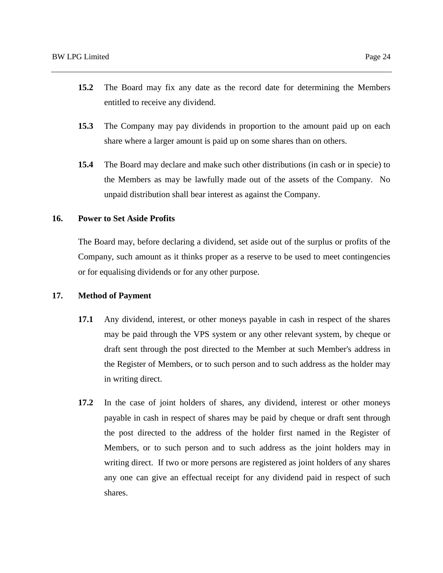- **15.2** The Board may fix any date as the record date for determining the Members entitled to receive any dividend.
- **15.3** The Company may pay dividends in proportion to the amount paid up on each share where a larger amount is paid up on some shares than on others.
- **15.4** The Board may declare and make such other distributions (in cash or in specie) to the Members as may be lawfully made out of the assets of the Company. No unpaid distribution shall bear interest as against the Company.

## **16. Power to Set Aside Profits**

The Board may, before declaring a dividend, set aside out of the surplus or profits of the Company, such amount as it thinks proper as a reserve to be used to meet contingencies or for equalising dividends or for any other purpose.

#### **17. Method of Payment**

- **17.1** Any dividend, interest, or other moneys payable in cash in respect of the shares may be paid through the VPS system or any other relevant system, by cheque or draft sent through the post directed to the Member at such Member's address in the Register of Members, or to such person and to such address as the holder may in writing direct.
- **17.2** In the case of joint holders of shares, any dividend, interest or other moneys payable in cash in respect of shares may be paid by cheque or draft sent through the post directed to the address of the holder first named in the Register of Members, or to such person and to such address as the joint holders may in writing direct. If two or more persons are registered as joint holders of any shares any one can give an effectual receipt for any dividend paid in respect of such shares.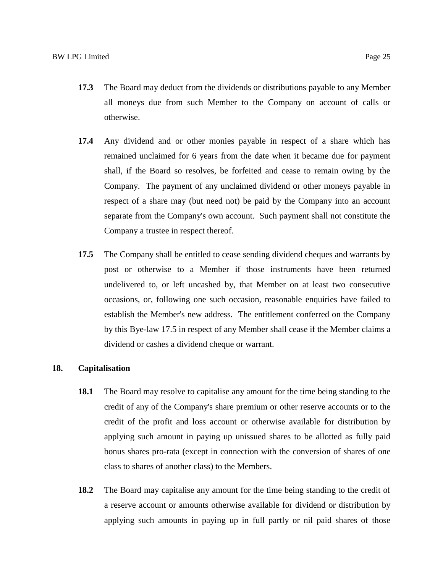- **17.3** The Board may deduct from the dividends or distributions payable to any Member all moneys due from such Member to the Company on account of calls or otherwise.
- **17.4** Any dividend and or other monies payable in respect of a share which has remained unclaimed for 6 years from the date when it became due for payment shall, if the Board so resolves, be forfeited and cease to remain owing by the Company. The payment of any unclaimed dividend or other moneys payable in respect of a share may (but need not) be paid by the Company into an account separate from the Company's own account. Such payment shall not constitute the Company a trustee in respect thereof.
- **17.5** The Company shall be entitled to cease sending dividend cheques and warrants by post or otherwise to a Member if those instruments have been returned undelivered to, or left uncashed by, that Member on at least two consecutive occasions, or, following one such occasion, reasonable enquiries have failed to establish the Member's new address. The entitlement conferred on the Company by this Bye-law 17.5 in respect of any Member shall cease if the Member claims a dividend or cashes a dividend cheque or warrant.

#### **18. Capitalisation**

- **18.1** The Board may resolve to capitalise any amount for the time being standing to the credit of any of the Company's share premium or other reserve accounts or to the credit of the profit and loss account or otherwise available for distribution by applying such amount in paying up unissued shares to be allotted as fully paid bonus shares pro-rata (except in connection with the conversion of shares of one class to shares of another class) to the Members.
- **18.2** The Board may capitalise any amount for the time being standing to the credit of a reserve account or amounts otherwise available for dividend or distribution by applying such amounts in paying up in full partly or nil paid shares of those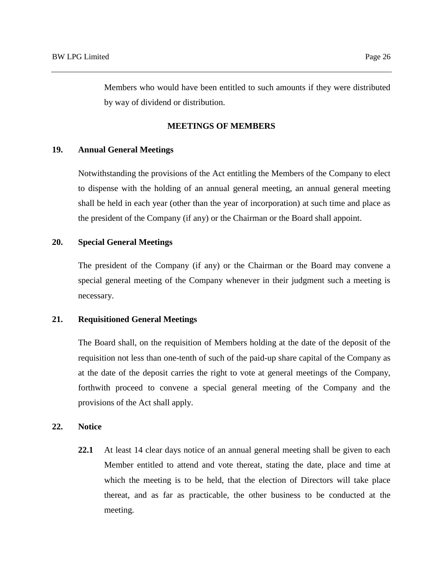Members who would have been entitled to such amounts if they were distributed by way of dividend or distribution.

#### **MEETINGS OF MEMBERS**

## **19. Annual General Meetings**

Notwithstanding the provisions of the Act entitling the Members of the Company to elect to dispense with the holding of an annual general meeting, an annual general meeting shall be held in each year (other than the year of incorporation) at such time and place as the president of the Company (if any) or the Chairman or the Board shall appoint.

## **20. Special General Meetings**

The president of the Company (if any) or the Chairman or the Board may convene a special general meeting of the Company whenever in their judgment such a meeting is necessary.

#### **21. Requisitioned General Meetings**

The Board shall, on the requisition of Members holding at the date of the deposit of the requisition not less than one-tenth of such of the paid-up share capital of the Company as at the date of the deposit carries the right to vote at general meetings of the Company, forthwith proceed to convene a special general meeting of the Company and the provisions of the Act shall apply.

# **22. Notice**

**22.1** At least 14 clear days notice of an annual general meeting shall be given to each Member entitled to attend and vote thereat, stating the date, place and time at which the meeting is to be held, that the election of Directors will take place thereat, and as far as practicable, the other business to be conducted at the meeting.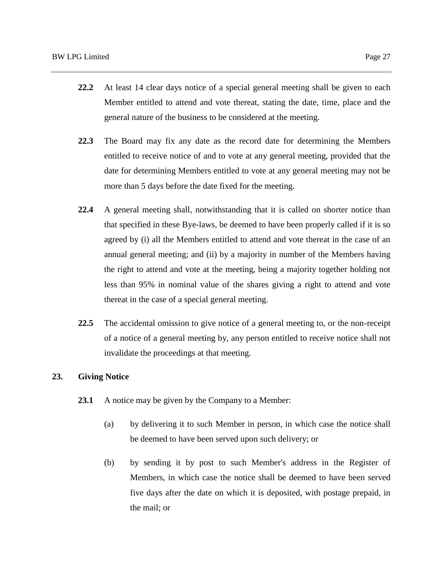- **22.2** At least 14 clear days notice of a special general meeting shall be given to each Member entitled to attend and vote thereat, stating the date, time, place and the general nature of the business to be considered at the meeting.
- **22.3** The Board may fix any date as the record date for determining the Members entitled to receive notice of and to vote at any general meeting, provided that the date for determining Members entitled to vote at any general meeting may not be more than 5 days before the date fixed for the meeting.
- **22.4** A general meeting shall, notwithstanding that it is called on shorter notice than that specified in these Bye-laws, be deemed to have been properly called if it is so agreed by (i) all the Members entitled to attend and vote thereat in the case of an annual general meeting; and (ii) by a majority in number of the Members having the right to attend and vote at the meeting, being a majority together holding not less than 95% in nominal value of the shares giving a right to attend and vote thereat in the case of a special general meeting.
- **22.5** The accidental omission to give notice of a general meeting to, or the non-receipt of a notice of a general meeting by, any person entitled to receive notice shall not invalidate the proceedings at that meeting.

#### **23. Giving Notice**

- **23.1** A notice may be given by the Company to a Member:
	- (a) by delivering it to such Member in person, in which case the notice shall be deemed to have been served upon such delivery; or
	- (b) by sending it by post to such Member's address in the Register of Members, in which case the notice shall be deemed to have been served five days after the date on which it is deposited, with postage prepaid, in the mail; or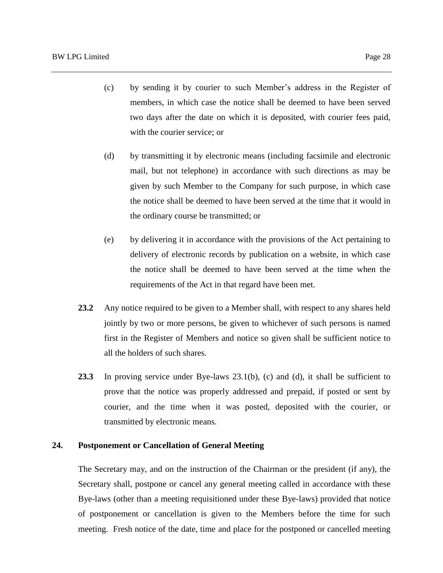- (c) by sending it by courier to such Member's address in the Register of members, in which case the notice shall be deemed to have been served two days after the date on which it is deposited, with courier fees paid, with the courier service; or
- (d) by transmitting it by electronic means (including facsimile and electronic mail, but not telephone) in accordance with such directions as may be given by such Member to the Company for such purpose, in which case the notice shall be deemed to have been served at the time that it would in the ordinary course be transmitted; or
- (e) by delivering it in accordance with the provisions of the Act pertaining to delivery of electronic records by publication on a website, in which case the notice shall be deemed to have been served at the time when the requirements of the Act in that regard have been met.
- **23.2** Any notice required to be given to a Member shall, with respect to any shares held jointly by two or more persons, be given to whichever of such persons is named first in the Register of Members and notice so given shall be sufficient notice to all the holders of such shares.
- **23.3** In proving service under Bye-laws 23.1(b), (c) and (d), it shall be sufficient to prove that the notice was properly addressed and prepaid, if posted or sent by courier, and the time when it was posted, deposited with the courier, or transmitted by electronic means.

## **24. Postponement or Cancellation of General Meeting**

The Secretary may, and on the instruction of the Chairman or the president (if any), the Secretary shall, postpone or cancel any general meeting called in accordance with these Bye-laws (other than a meeting requisitioned under these Bye-laws) provided that notice of postponement or cancellation is given to the Members before the time for such meeting. Fresh notice of the date, time and place for the postponed or cancelled meeting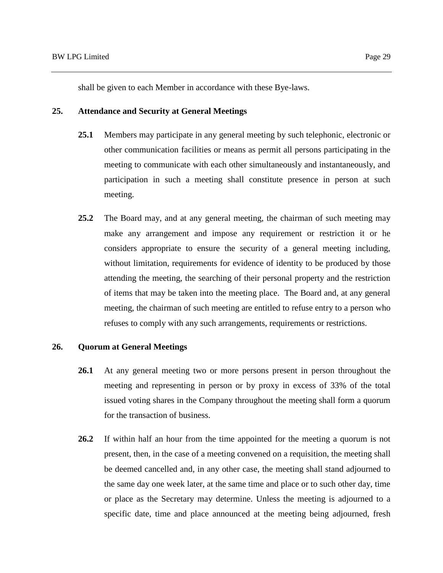shall be given to each Member in accordance with these Bye-laws.

### **25. Attendance and Security at General Meetings**

- **25.1** Members may participate in any general meeting by such telephonic, electronic or other communication facilities or means as permit all persons participating in the meeting to communicate with each other simultaneously and instantaneously, and participation in such a meeting shall constitute presence in person at such meeting.
- **25.2** The Board may, and at any general meeting, the chairman of such meeting may make any arrangement and impose any requirement or restriction it or he considers appropriate to ensure the security of a general meeting including, without limitation, requirements for evidence of identity to be produced by those attending the meeting, the searching of their personal property and the restriction of items that may be taken into the meeting place. The Board and, at any general meeting, the chairman of such meeting are entitled to refuse entry to a person who refuses to comply with any such arrangements, requirements or restrictions.

# **26. Quorum at General Meetings**

- **26.1** At any general meeting two or more persons present in person throughout the meeting and representing in person or by proxy in excess of 33% of the total issued voting shares in the Company throughout the meeting shall form a quorum for the transaction of business.
- **26.2** If within half an hour from the time appointed for the meeting a quorum is not present, then, in the case of a meeting convened on a requisition, the meeting shall be deemed cancelled and, in any other case, the meeting shall stand adjourned to the same day one week later, at the same time and place or to such other day, time or place as the Secretary may determine. Unless the meeting is adjourned to a specific date, time and place announced at the meeting being adjourned, fresh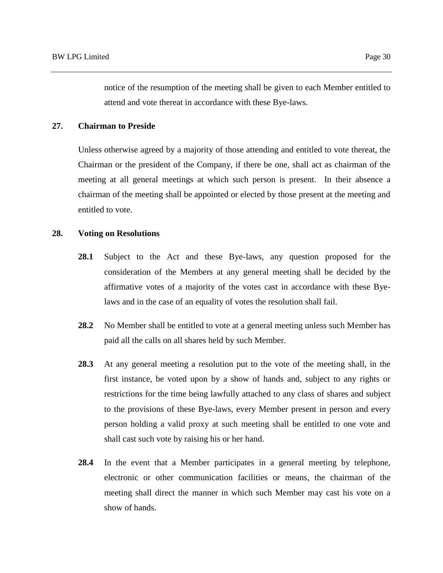notice of the resumption of the meeting shall be given to each Member entitled to attend and vote thereat in accordance with these Bye-laws.

# **27. Chairman to Preside**

Unless otherwise agreed by a majority of those attending and entitled to vote thereat, the Chairman or the president of the Company, if there be one, shall act as chairman of the meeting at all general meetings at which such person is present. In their absence a chairman of the meeting shall be appointed or elected by those present at the meeting and entitled to vote.

#### **28. Voting on Resolutions**

- **28.1** Subject to the Act and these Bye-laws, any question proposed for the consideration of the Members at any general meeting shall be decided by the affirmative votes of a majority of the votes cast in accordance with these Byelaws and in the case of an equality of votes the resolution shall fail.
- **28.2** No Member shall be entitled to vote at a general meeting unless such Member has paid all the calls on all shares held by such Member.
- **28.3** At any general meeting a resolution put to the vote of the meeting shall, in the first instance, be voted upon by a show of hands and, subject to any rights or restrictions for the time being lawfully attached to any class of shares and subject to the provisions of these Bye-laws, every Member present in person and every person holding a valid proxy at such meeting shall be entitled to one vote and shall cast such vote by raising his or her hand.
- **28.4** In the event that a Member participates in a general meeting by telephone, electronic or other communication facilities or means, the chairman of the meeting shall direct the manner in which such Member may cast his vote on a show of hands.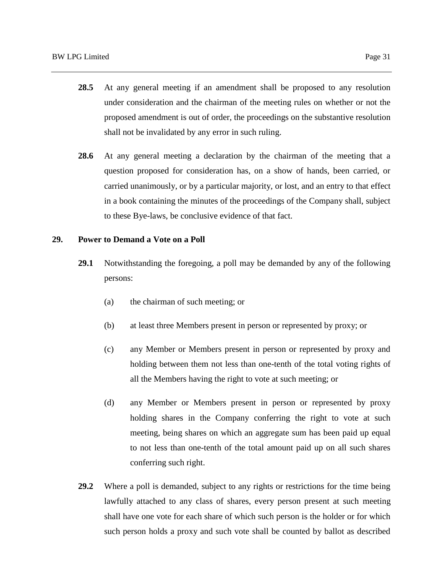- **28.5** At any general meeting if an amendment shall be proposed to any resolution under consideration and the chairman of the meeting rules on whether or not the proposed amendment is out of order, the proceedings on the substantive resolution shall not be invalidated by any error in such ruling.
- **28.6** At any general meeting a declaration by the chairman of the meeting that a question proposed for consideration has, on a show of hands, been carried, or carried unanimously, or by a particular majority, or lost, and an entry to that effect in a book containing the minutes of the proceedings of the Company shall, subject to these Bye-laws, be conclusive evidence of that fact.

## **29. Power to Demand a Vote on a Poll**

- **29.1** Notwithstanding the foregoing, a poll may be demanded by any of the following persons:
	- (a) the chairman of such meeting; or
	- (b) at least three Members present in person or represented by proxy; or
	- (c) any Member or Members present in person or represented by proxy and holding between them not less than one-tenth of the total voting rights of all the Members having the right to vote at such meeting; or
	- (d) any Member or Members present in person or represented by proxy holding shares in the Company conferring the right to vote at such meeting, being shares on which an aggregate sum has been paid up equal to not less than one-tenth of the total amount paid up on all such shares conferring such right.
- **29.2** Where a poll is demanded, subject to any rights or restrictions for the time being lawfully attached to any class of shares, every person present at such meeting shall have one vote for each share of which such person is the holder or for which such person holds a proxy and such vote shall be counted by ballot as described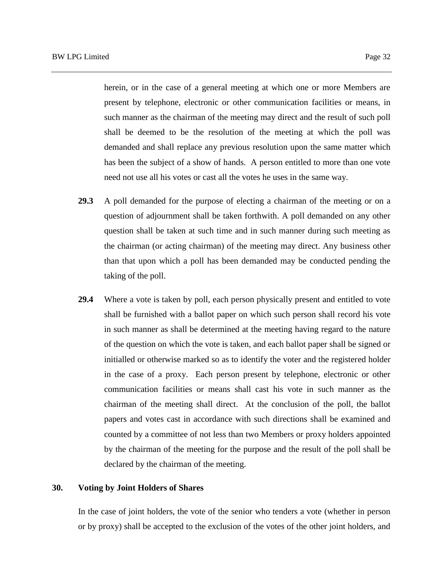herein, or in the case of a general meeting at which one or more Members are present by telephone, electronic or other communication facilities or means, in such manner as the chairman of the meeting may direct and the result of such poll shall be deemed to be the resolution of the meeting at which the poll was demanded and shall replace any previous resolution upon the same matter which has been the subject of a show of hands. A person entitled to more than one vote need not use all his votes or cast all the votes he uses in the same way.

- **29.3** A poll demanded for the purpose of electing a chairman of the meeting or on a question of adjournment shall be taken forthwith. A poll demanded on any other question shall be taken at such time and in such manner during such meeting as the chairman (or acting chairman) of the meeting may direct. Any business other than that upon which a poll has been demanded may be conducted pending the taking of the poll.
- **29.4** Where a vote is taken by poll, each person physically present and entitled to vote shall be furnished with a ballot paper on which such person shall record his vote in such manner as shall be determined at the meeting having regard to the nature of the question on which the vote is taken, and each ballot paper shall be signed or initialled or otherwise marked so as to identify the voter and the registered holder in the case of a proxy. Each person present by telephone, electronic or other communication facilities or means shall cast his vote in such manner as the chairman of the meeting shall direct. At the conclusion of the poll, the ballot papers and votes cast in accordance with such directions shall be examined and counted by a committee of not less than two Members or proxy holders appointed by the chairman of the meeting for the purpose and the result of the poll shall be declared by the chairman of the meeting.

#### **30. Voting by Joint Holders of Shares**

In the case of joint holders, the vote of the senior who tenders a vote (whether in person or by proxy) shall be accepted to the exclusion of the votes of the other joint holders, and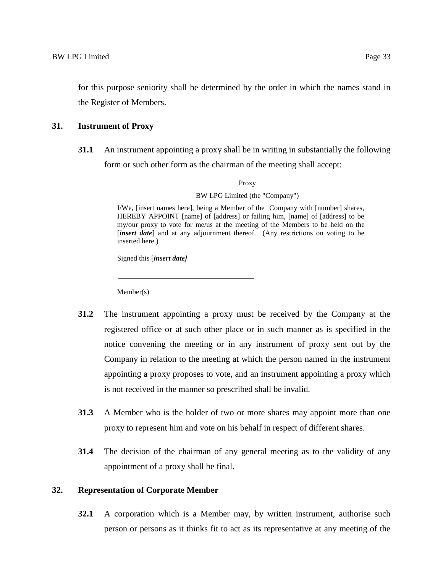for this purpose seniority shall be determined by the order in which the names stand in the Register of Members.

#### **31. Instrument of Proxy**

**31.1** An instrument appointing a proxy shall be in writing in substantially the following form or such other form as the chairman of the meeting shall accept:

Proxy

BW LPG Limited (the "Company")

I/We, [insert names here], being a Member of the Company with [number] shares, HEREBY APPOINT [name] of [address] or failing him, [name] of [address] to be my/our proxy to vote for me/us at the meeting of the Members to be held on the [*insert date*] and at any adjournment thereof. (Any restrictions on voting to be inserted here.)

Signed this [*insert date]*

Member(s)

- **31.2** The instrument appointing a proxy must be received by the Company at the registered office or at such other place or in such manner as is specified in the notice convening the meeting or in any instrument of proxy sent out by the Company in relation to the meeting at which the person named in the instrument appointing a proxy proposes to vote, and an instrument appointing a proxy which is not received in the manner so prescribed shall be invalid.
- **31.3** A Member who is the holder of two or more shares may appoint more than one proxy to represent him and vote on his behalf in respect of different shares.
- **31.4** The decision of the chairman of any general meeting as to the validity of any appointment of a proxy shall be final.

#### **32. Representation of Corporate Member**

**32.1** A corporation which is a Member may, by written instrument, authorise such person or persons as it thinks fit to act as its representative at any meeting of the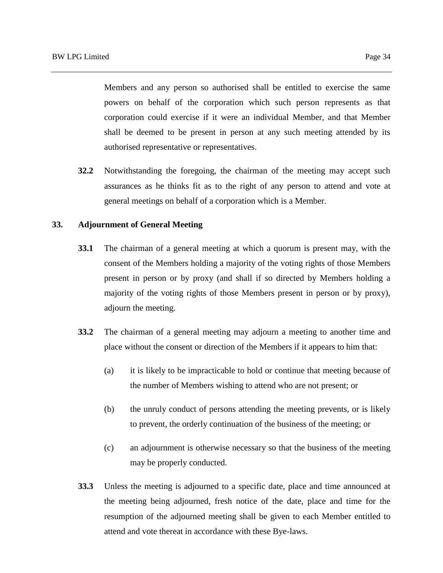Members and any person so authorised shall be entitled to exercise the same powers on behalf of the corporation which such person represents as that corporation could exercise if it were an individual Member, and that Member shall be deemed to be present in person at any such meeting attended by its authorised representative or representatives.

**32.2** Notwithstanding the foregoing, the chairman of the meeting may accept such assurances as he thinks fit as to the right of any person to attend and vote at general meetings on behalf of a corporation which is a Member.

# **33. Adjournment of General Meeting**

- **33.1** The chairman of a general meeting at which a quorum is present may, with the consent of the Members holding a majority of the voting rights of those Members present in person or by proxy (and shall if so directed by Members holding a majority of the voting rights of those Members present in person or by proxy), adjourn the meeting.
- **33.2** The chairman of a general meeting may adjourn a meeting to another time and place without the consent or direction of the Members if it appears to him that:
	- (a) it is likely to be impracticable to hold or continue that meeting because of the number of Members wishing to attend who are not present; or
	- (b) the unruly conduct of persons attending the meeting prevents, or is likely to prevent, the orderly continuation of the business of the meeting; or
	- (c) an adjournment is otherwise necessary so that the business of the meeting may be properly conducted.
- **33.3** Unless the meeting is adjourned to a specific date, place and time announced at the meeting being adjourned, fresh notice of the date, place and time for the resumption of the adjourned meeting shall be given to each Member entitled to attend and vote thereat in accordance with these Bye-laws.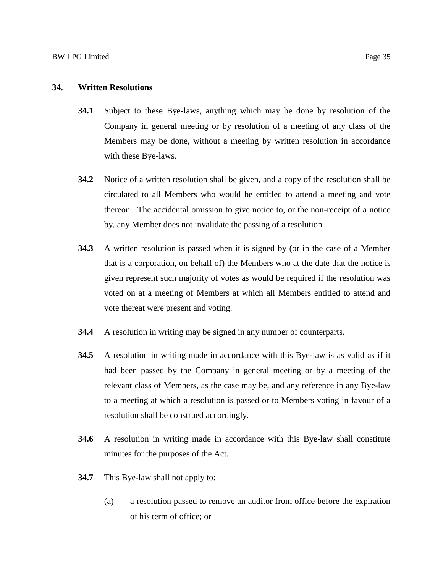## **34. Written Resolutions**

- **34.1** Subject to these Bye-laws, anything which may be done by resolution of the Company in general meeting or by resolution of a meeting of any class of the Members may be done, without a meeting by written resolution in accordance with these Bye-laws.
- **34.2** Notice of a written resolution shall be given, and a copy of the resolution shall be circulated to all Members who would be entitled to attend a meeting and vote thereon. The accidental omission to give notice to, or the non-receipt of a notice by, any Member does not invalidate the passing of a resolution.
- **34.3** A written resolution is passed when it is signed by (or in the case of a Member that is a corporation, on behalf of) the Members who at the date that the notice is given represent such majority of votes as would be required if the resolution was voted on at a meeting of Members at which all Members entitled to attend and vote thereat were present and voting.
- **34.4** A resolution in writing may be signed in any number of counterparts.
- **34.5** A resolution in writing made in accordance with this Bye-law is as valid as if it had been passed by the Company in general meeting or by a meeting of the relevant class of Members, as the case may be, and any reference in any Bye-law to a meeting at which a resolution is passed or to Members voting in favour of a resolution shall be construed accordingly.
- **34.6** A resolution in writing made in accordance with this Bye-law shall constitute minutes for the purposes of the Act.
- **34.7** This Bye-law shall not apply to:
	- (a) a resolution passed to remove an auditor from office before the expiration of his term of office; or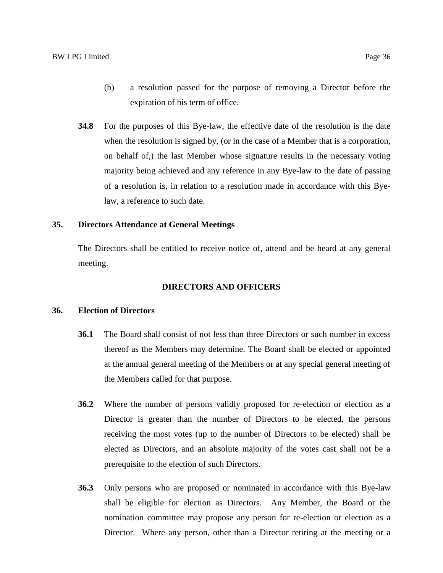- (b) a resolution passed for the purpose of removing a Director before the expiration of his term of office.
- **34.8** For the purposes of this Bye-law, the effective date of the resolution is the date when the resolution is signed by, (or in the case of a Member that is a corporation, on behalf of,) the last Member whose signature results in the necessary voting majority being achieved and any reference in any Bye-law to the date of passing of a resolution is, in relation to a resolution made in accordance with this Byelaw, a reference to such date.

## **35. Directors Attendance at General Meetings**

The Directors shall be entitled to receive notice of, attend and be heard at any general meeting.

#### **DIRECTORS AND OFFICERS**

## **36. Election of Directors**

- **36.1** The Board shall consist of not less than three Directors or such number in excess thereof as the Members may determine. The Board shall be elected or appointed at the annual general meeting of the Members or at any special general meeting of the Members called for that purpose.
- **36.2** Where the number of persons validly proposed for re-election or election as a Director is greater than the number of Directors to be elected, the persons receiving the most votes (up to the number of Directors to be elected) shall be elected as Directors, and an absolute majority of the votes cast shall not be a prerequisite to the election of such Directors.
- **36.3** Only persons who are proposed or nominated in accordance with this Bye-law shall be eligible for election as Directors. Any Member, the Board or the nomination committee may propose any person for re-election or election as a Director. Where any person, other than a Director retiring at the meeting or a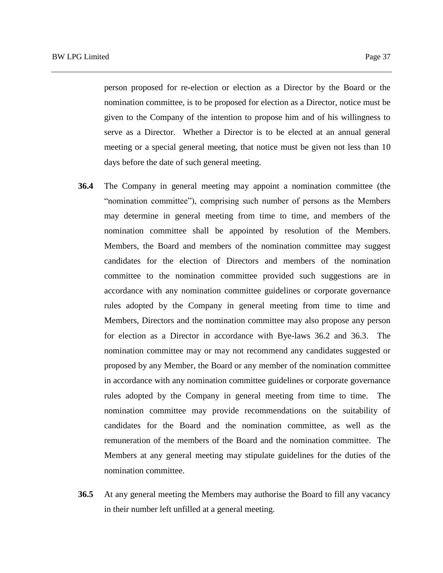person proposed for re-election or election as a Director by the Board or the nomination committee, is to be proposed for election as a Director, notice must be given to the Company of the intention to propose him and of his willingness to serve as a Director. Whether a Director is to be elected at an annual general meeting or a special general meeting, that notice must be given not less than 10 days before the date of such general meeting.

- **36.4** The Company in general meeting may appoint a nomination committee (the "nomination committee"), comprising such number of persons as the Members may determine in general meeting from time to time, and members of the nomination committee shall be appointed by resolution of the Members. Members, the Board and members of the nomination committee may suggest candidates for the election of Directors and members of the nomination committee to the nomination committee provided such suggestions are in accordance with any nomination committee guidelines or corporate governance rules adopted by the Company in general meeting from time to time and Members, Directors and the nomination committee may also propose any person for election as a Director in accordance with Bye-laws 36.2 and 36.3. The nomination committee may or may not recommend any candidates suggested or proposed by any Member, the Board or any member of the nomination committee in accordance with any nomination committee guidelines or corporate governance rules adopted by the Company in general meeting from time to time. The nomination committee may provide recommendations on the suitability of candidates for the Board and the nomination committee, as well as the remuneration of the members of the Board and the nomination committee. The Members at any general meeting may stipulate guidelines for the duties of the nomination committee.
- **36.5** At any general meeting the Members may authorise the Board to fill any vacancy in their number left unfilled at a general meeting.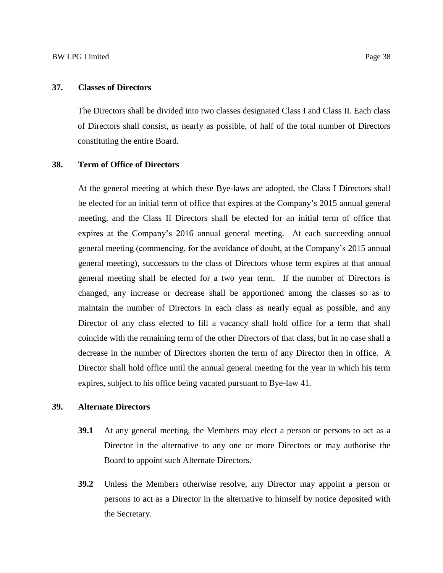## **37. Classes of Directors**

The Directors shall be divided into two classes designated Class I and Class II. Each class of Directors shall consist, as nearly as possible, of half of the total number of Directors constituting the entire Board.

#### **38. Term of Office of Directors**

At the general meeting at which these Bye-laws are adopted, the Class I Directors shall be elected for an initial term of office that expires at the Company's 2015 annual general meeting, and the Class II Directors shall be elected for an initial term of office that expires at the Company's 2016 annual general meeting. At each succeeding annual general meeting (commencing, for the avoidance of doubt, at the Company's 2015 annual general meeting), successors to the class of Directors whose term expires at that annual general meeting shall be elected for a two year term. If the number of Directors is changed, any increase or decrease shall be apportioned among the classes so as to maintain the number of Directors in each class as nearly equal as possible, and any Director of any class elected to fill a vacancy shall hold office for a term that shall coincide with the remaining term of the other Directors of that class, but in no case shall a decrease in the number of Directors shorten the term of any Director then in office. A Director shall hold office until the annual general meeting for the year in which his term expires, subject to his office being vacated pursuant to Bye-law 41.

## **39. Alternate Directors**

- **39.1** At any general meeting, the Members may elect a person or persons to act as a Director in the alternative to any one or more Directors or may authorise the Board to appoint such Alternate Directors.
- **39.2** Unless the Members otherwise resolve, any Director may appoint a person or persons to act as a Director in the alternative to himself by notice deposited with the Secretary.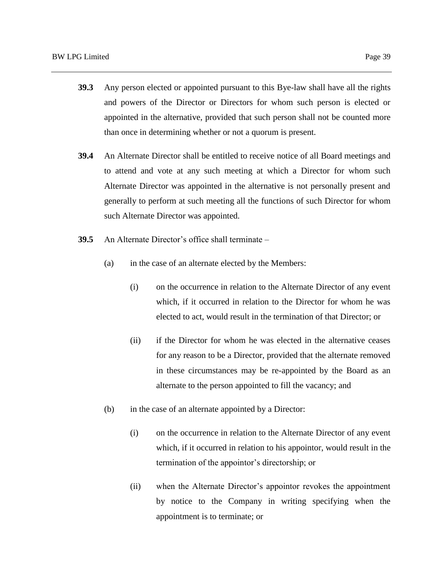- **39.3** Any person elected or appointed pursuant to this Bye-law shall have all the rights and powers of the Director or Directors for whom such person is elected or appointed in the alternative, provided that such person shall not be counted more than once in determining whether or not a quorum is present.
- **39.4** An Alternate Director shall be entitled to receive notice of all Board meetings and to attend and vote at any such meeting at which a Director for whom such Alternate Director was appointed in the alternative is not personally present and generally to perform at such meeting all the functions of such Director for whom such Alternate Director was appointed.
- **39.5** An Alternate Director's office shall terminate
	- (a) in the case of an alternate elected by the Members:
		- (i) on the occurrence in relation to the Alternate Director of any event which, if it occurred in relation to the Director for whom he was elected to act, would result in the termination of that Director; or
		- (ii) if the Director for whom he was elected in the alternative ceases for any reason to be a Director, provided that the alternate removed in these circumstances may be re-appointed by the Board as an alternate to the person appointed to fill the vacancy; and
	- (b) in the case of an alternate appointed by a Director:
		- (i) on the occurrence in relation to the Alternate Director of any event which, if it occurred in relation to his appointor, would result in the termination of the appointor's directorship; or
		- (ii) when the Alternate Director's appointor revokes the appointment by notice to the Company in writing specifying when the appointment is to terminate; or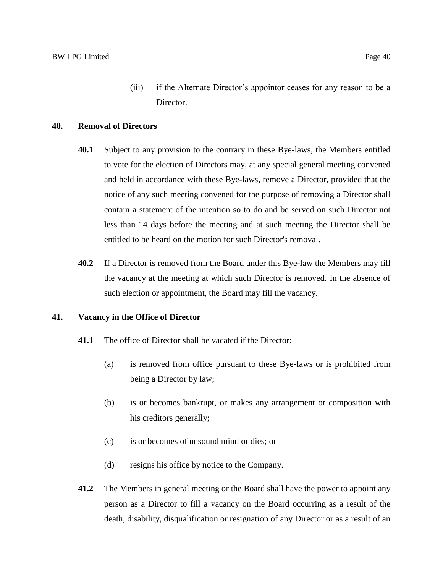(iii) if the Alternate Director's appointor ceases for any reason to be a Director.

## **40. Removal of Directors**

- **40.1** Subject to any provision to the contrary in these Bye-laws, the Members entitled to vote for the election of Directors may, at any special general meeting convened and held in accordance with these Bye-laws, remove a Director, provided that the notice of any such meeting convened for the purpose of removing a Director shall contain a statement of the intention so to do and be served on such Director not less than 14 days before the meeting and at such meeting the Director shall be entitled to be heard on the motion for such Director's removal.
- **40.2** If a Director is removed from the Board under this Bye-law the Members may fill the vacancy at the meeting at which such Director is removed. In the absence of such election or appointment, the Board may fill the vacancy.

#### **41. Vacancy in the Office of Director**

- **41.1** The office of Director shall be vacated if the Director:
	- (a) is removed from office pursuant to these Bye-laws or is prohibited from being a Director by law;
	- (b) is or becomes bankrupt, or makes any arrangement or composition with his creditors generally;
	- (c) is or becomes of unsound mind or dies; or
	- (d) resigns his office by notice to the Company.
- **41.2** The Members in general meeting or the Board shall have the power to appoint any person as a Director to fill a vacancy on the Board occurring as a result of the death, disability, disqualification or resignation of any Director or as a result of an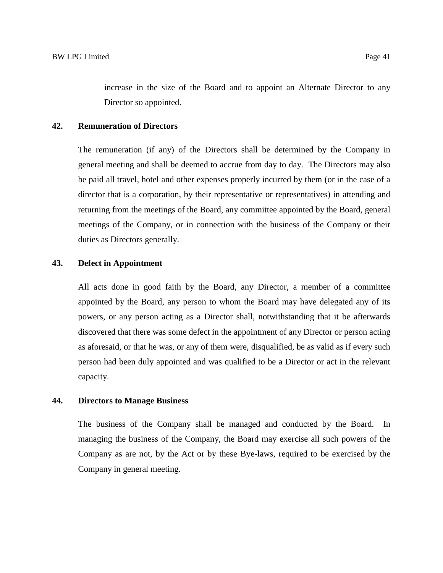increase in the size of the Board and to appoint an Alternate Director to any Director so appointed.

#### **42. Remuneration of Directors**

The remuneration (if any) of the Directors shall be determined by the Company in general meeting and shall be deemed to accrue from day to day. The Directors may also be paid all travel, hotel and other expenses properly incurred by them (or in the case of a director that is a corporation, by their representative or representatives) in attending and returning from the meetings of the Board, any committee appointed by the Board, general meetings of the Company, or in connection with the business of the Company or their duties as Directors generally.

## **43. Defect in Appointment**

All acts done in good faith by the Board, any Director, a member of a committee appointed by the Board, any person to whom the Board may have delegated any of its powers, or any person acting as a Director shall, notwithstanding that it be afterwards discovered that there was some defect in the appointment of any Director or person acting as aforesaid, or that he was, or any of them were, disqualified, be as valid as if every such person had been duly appointed and was qualified to be a Director or act in the relevant capacity.

# **44. Directors to Manage Business**

The business of the Company shall be managed and conducted by the Board. In managing the business of the Company, the Board may exercise all such powers of the Company as are not, by the Act or by these Bye-laws, required to be exercised by the Company in general meeting.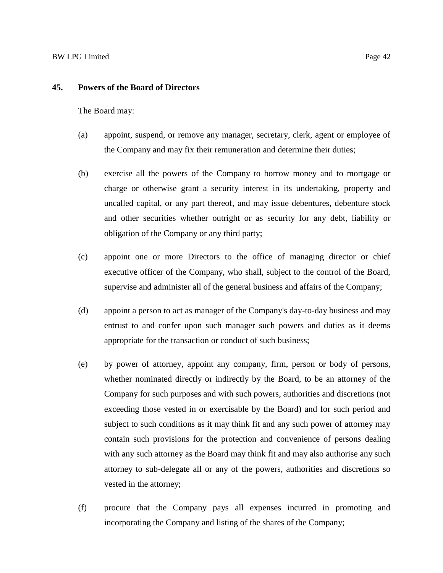# **45. Powers of the Board of Directors**

The Board may:

- (a) appoint, suspend, or remove any manager, secretary, clerk, agent or employee of the Company and may fix their remuneration and determine their duties;
- (b) exercise all the powers of the Company to borrow money and to mortgage or charge or otherwise grant a security interest in its undertaking, property and uncalled capital, or any part thereof, and may issue debentures, debenture stock and other securities whether outright or as security for any debt, liability or obligation of the Company or any third party;
- (c) appoint one or more Directors to the office of managing director or chief executive officer of the Company, who shall, subject to the control of the Board, supervise and administer all of the general business and affairs of the Company;
- (d) appoint a person to act as manager of the Company's day-to-day business and may entrust to and confer upon such manager such powers and duties as it deems appropriate for the transaction or conduct of such business;
- (e) by power of attorney, appoint any company, firm, person or body of persons, whether nominated directly or indirectly by the Board, to be an attorney of the Company for such purposes and with such powers, authorities and discretions (not exceeding those vested in or exercisable by the Board) and for such period and subject to such conditions as it may think fit and any such power of attorney may contain such provisions for the protection and convenience of persons dealing with any such attorney as the Board may think fit and may also authorise any such attorney to sub-delegate all or any of the powers, authorities and discretions so vested in the attorney;
- (f) procure that the Company pays all expenses incurred in promoting and incorporating the Company and listing of the shares of the Company;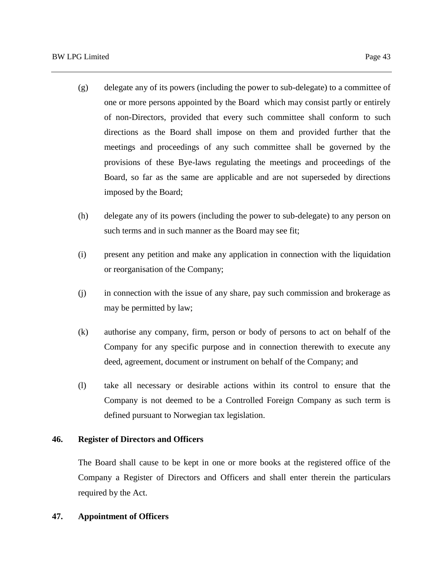- (g) delegate any of its powers (including the power to sub-delegate) to a committee of one or more persons appointed by the Board which may consist partly or entirely of non-Directors, provided that every such committee shall conform to such directions as the Board shall impose on them and provided further that the meetings and proceedings of any such committee shall be governed by the provisions of these Bye-laws regulating the meetings and proceedings of the Board, so far as the same are applicable and are not superseded by directions imposed by the Board;
- (h) delegate any of its powers (including the power to sub-delegate) to any person on such terms and in such manner as the Board may see fit;
- (i) present any petition and make any application in connection with the liquidation or reorganisation of the Company;
- (j) in connection with the issue of any share, pay such commission and brokerage as may be permitted by law;
- (k) authorise any company, firm, person or body of persons to act on behalf of the Company for any specific purpose and in connection therewith to execute any deed, agreement, document or instrument on behalf of the Company; and
- (l) take all necessary or desirable actions within its control to ensure that the Company is not deemed to be a Controlled Foreign Company as such term is defined pursuant to Norwegian tax legislation.

# **46. Register of Directors and Officers**

The Board shall cause to be kept in one or more books at the registered office of the Company a Register of Directors and Officers and shall enter therein the particulars required by the Act.

## **47. Appointment of Officers**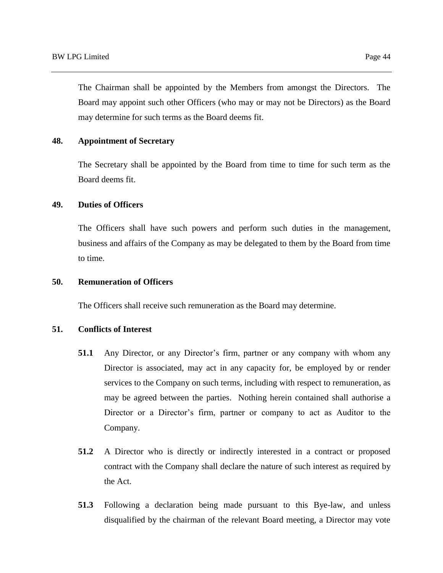The Chairman shall be appointed by the Members from amongst the Directors. The Board may appoint such other Officers (who may or may not be Directors) as the Board may determine for such terms as the Board deems fit.

# **48. Appointment of Secretary**

The Secretary shall be appointed by the Board from time to time for such term as the Board deems fit.

## **49. Duties of Officers**

The Officers shall have such powers and perform such duties in the management, business and affairs of the Company as may be delegated to them by the Board from time to time.

## **50. Remuneration of Officers**

The Officers shall receive such remuneration as the Board may determine.

## **51. Conflicts of Interest**

- **51.1** Any Director, or any Director's firm, partner or any company with whom any Director is associated, may act in any capacity for, be employed by or render services to the Company on such terms, including with respect to remuneration, as may be agreed between the parties. Nothing herein contained shall authorise a Director or a Director's firm, partner or company to act as Auditor to the Company.
- **51.2** A Director who is directly or indirectly interested in a contract or proposed contract with the Company shall declare the nature of such interest as required by the Act.
- **51.3** Following a declaration being made pursuant to this Bye-law, and unless disqualified by the chairman of the relevant Board meeting, a Director may vote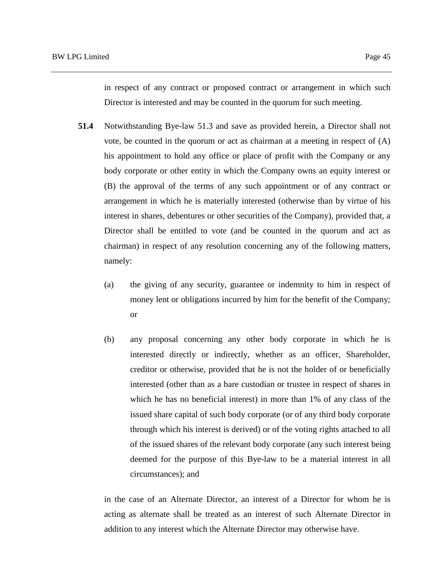in respect of any contract or proposed contract or arrangement in which such Director is interested and may be counted in the quorum for such meeting.

- **51.4** Notwithstanding Bye-law 51.3 and save as provided herein, a Director shall not vote, be counted in the quorum or act as chairman at a meeting in respect of (A) his appointment to hold any office or place of profit with the Company or any body corporate or other entity in which the Company owns an equity interest or (B) the approval of the terms of any such appointment or of any contract or arrangement in which he is materially interested (otherwise than by virtue of his interest in shares, debentures or other securities of the Company), provided that, a Director shall be entitled to vote (and be counted in the quorum and act as chairman) in respect of any resolution concerning any of the following matters, namely:
	- (a) the giving of any security, guarantee or indemnity to him in respect of money lent or obligations incurred by him for the benefit of the Company; or
	- (b) any proposal concerning any other body corporate in which he is interested directly or indirectly, whether as an officer, Shareholder, creditor or otherwise, provided that he is not the holder of or beneficially interested (other than as a bare custodian or trustee in respect of shares in which he has no beneficial interest) in more than 1% of any class of the issued share capital of such body corporate (or of any third body corporate through which his interest is derived) or of the voting rights attached to all of the issued shares of the relevant body corporate (any such interest being deemed for the purpose of this Bye-law to be a material interest in all circumstances); and

in the case of an Alternate Director, an interest of a Director for whom he is acting as alternate shall be treated as an interest of such Alternate Director in addition to any interest which the Alternate Director may otherwise have.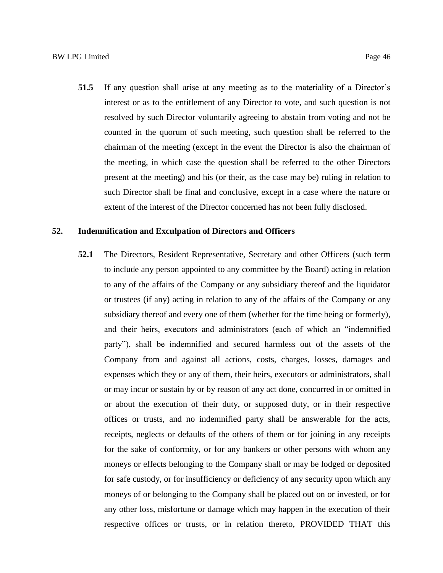**51.5** If any question shall arise at any meeting as to the materiality of a Director's interest or as to the entitlement of any Director to vote, and such question is not resolved by such Director voluntarily agreeing to abstain from voting and not be counted in the quorum of such meeting, such question shall be referred to the chairman of the meeting (except in the event the Director is also the chairman of the meeting, in which case the question shall be referred to the other Directors present at the meeting) and his (or their, as the case may be) ruling in relation to such Director shall be final and conclusive, except in a case where the nature or extent of the interest of the Director concerned has not been fully disclosed.

#### **52. Indemnification and Exculpation of Directors and Officers**

**52.1** The Directors, Resident Representative, Secretary and other Officers (such term to include any person appointed to any committee by the Board) acting in relation to any of the affairs of the Company or any subsidiary thereof and the liquidator or trustees (if any) acting in relation to any of the affairs of the Company or any subsidiary thereof and every one of them (whether for the time being or formerly), and their heirs, executors and administrators (each of which an "indemnified party"), shall be indemnified and secured harmless out of the assets of the Company from and against all actions, costs, charges, losses, damages and expenses which they or any of them, their heirs, executors or administrators, shall or may incur or sustain by or by reason of any act done, concurred in or omitted in or about the execution of their duty, or supposed duty, or in their respective offices or trusts, and no indemnified party shall be answerable for the acts, receipts, neglects or defaults of the others of them or for joining in any receipts for the sake of conformity, or for any bankers or other persons with whom any moneys or effects belonging to the Company shall or may be lodged or deposited for safe custody, or for insufficiency or deficiency of any security upon which any moneys of or belonging to the Company shall be placed out on or invested, or for any other loss, misfortune or damage which may happen in the execution of their respective offices or trusts, or in relation thereto, PROVIDED THAT this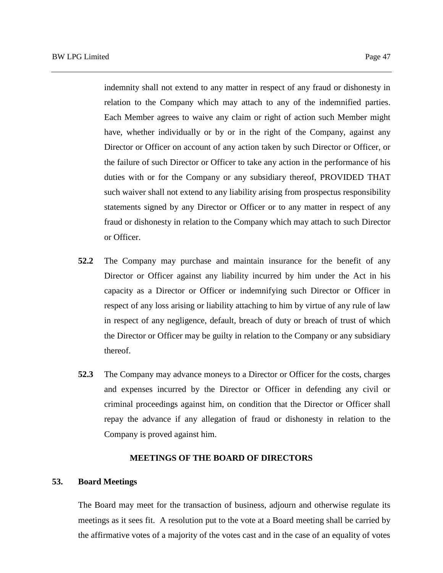indemnity shall not extend to any matter in respect of any fraud or dishonesty in relation to the Company which may attach to any of the indemnified parties. Each Member agrees to waive any claim or right of action such Member might have, whether individually or by or in the right of the Company, against any Director or Officer on account of any action taken by such Director or Officer, or the failure of such Director or Officer to take any action in the performance of his duties with or for the Company or any subsidiary thereof, PROVIDED THAT such waiver shall not extend to any liability arising from prospectus responsibility statements signed by any Director or Officer or to any matter in respect of any fraud or dishonesty in relation to the Company which may attach to such Director or Officer.

- **52.2** The Company may purchase and maintain insurance for the benefit of any Director or Officer against any liability incurred by him under the Act in his capacity as a Director or Officer or indemnifying such Director or Officer in respect of any loss arising or liability attaching to him by virtue of any rule of law in respect of any negligence, default, breach of duty or breach of trust of which the Director or Officer may be guilty in relation to the Company or any subsidiary thereof.
- **52.3** The Company may advance moneys to a Director or Officer for the costs, charges and expenses incurred by the Director or Officer in defending any civil or criminal proceedings against him, on condition that the Director or Officer shall repay the advance if any allegation of fraud or dishonesty in relation to the Company is proved against him.

## **MEETINGS OF THE BOARD OF DIRECTORS**

# **53. Board Meetings**

The Board may meet for the transaction of business, adjourn and otherwise regulate its meetings as it sees fit. A resolution put to the vote at a Board meeting shall be carried by the affirmative votes of a majority of the votes cast and in the case of an equality of votes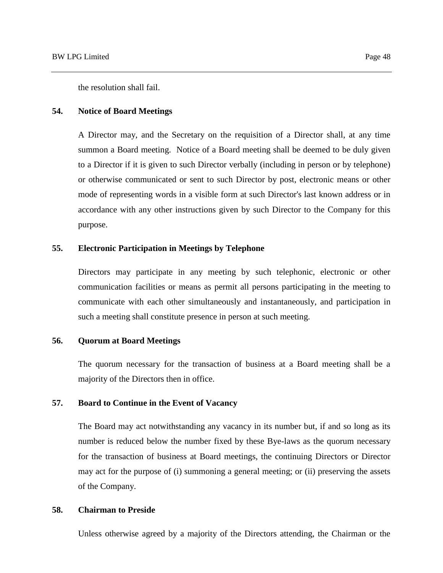#### **54. Notice of Board Meetings**

A Director may, and the Secretary on the requisition of a Director shall, at any time summon a Board meeting. Notice of a Board meeting shall be deemed to be duly given to a Director if it is given to such Director verbally (including in person or by telephone) or otherwise communicated or sent to such Director by post, electronic means or other mode of representing words in a visible form at such Director's last known address or in accordance with any other instructions given by such Director to the Company for this purpose.

# **55. Electronic Participation in Meetings by Telephone**

Directors may participate in any meeting by such telephonic, electronic or other communication facilities or means as permit all persons participating in the meeting to communicate with each other simultaneously and instantaneously, and participation in such a meeting shall constitute presence in person at such meeting.

#### **56. Quorum at Board Meetings**

The quorum necessary for the transaction of business at a Board meeting shall be a majority of the Directors then in office.

# **57. Board to Continue in the Event of Vacancy**

The Board may act notwithstanding any vacancy in its number but, if and so long as its number is reduced below the number fixed by these Bye-laws as the quorum necessary for the transaction of business at Board meetings, the continuing Directors or Director may act for the purpose of (i) summoning a general meeting; or (ii) preserving the assets of the Company.

# **58. Chairman to Preside**

Unless otherwise agreed by a majority of the Directors attending, the Chairman or the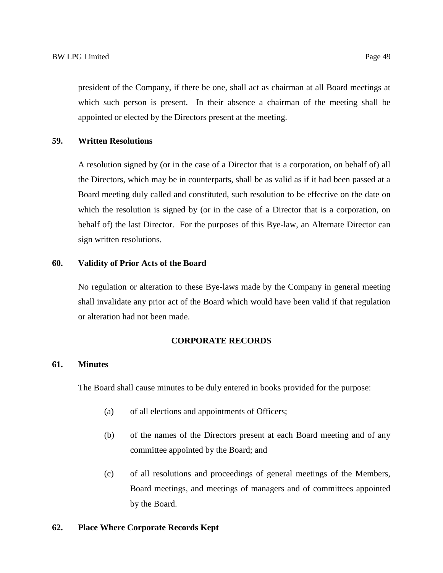president of the Company, if there be one, shall act as chairman at all Board meetings at which such person is present. In their absence a chairman of the meeting shall be appointed or elected by the Directors present at the meeting.

# **59. Written Resolutions**

A resolution signed by (or in the case of a Director that is a corporation, on behalf of) all the Directors, which may be in counterparts, shall be as valid as if it had been passed at a Board meeting duly called and constituted, such resolution to be effective on the date on which the resolution is signed by (or in the case of a Director that is a corporation, on behalf of) the last Director. For the purposes of this Bye-law, an Alternate Director can sign written resolutions.

# **60. Validity of Prior Acts of the Board**

No regulation or alteration to these Bye-laws made by the Company in general meeting shall invalidate any prior act of the Board which would have been valid if that regulation or alteration had not been made.

# **CORPORATE RECORDS**

# **61. Minutes**

The Board shall cause minutes to be duly entered in books provided for the purpose:

- (a) of all elections and appointments of Officers;
- (b) of the names of the Directors present at each Board meeting and of any committee appointed by the Board; and
- (c) of all resolutions and proceedings of general meetings of the Members, Board meetings, and meetings of managers and of committees appointed by the Board.

# **62. Place Where Corporate Records Kept**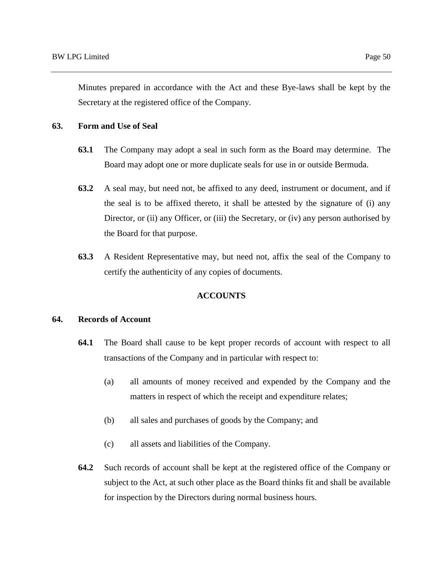Minutes prepared in accordance with the Act and these Bye-laws shall be kept by the Secretary at the registered office of the Company.

#### **63. Form and Use of Seal**

- **63.1** The Company may adopt a seal in such form as the Board may determine. The Board may adopt one or more duplicate seals for use in or outside Bermuda.
- **63.2** A seal may, but need not, be affixed to any deed, instrument or document, and if the seal is to be affixed thereto, it shall be attested by the signature of (i) any Director, or (ii) any Officer, or (iii) the Secretary, or (iv) any person authorised by the Board for that purpose.
- **63.3** A Resident Representative may, but need not, affix the seal of the Company to certify the authenticity of any copies of documents.

# **ACCOUNTS**

#### **64. Records of Account**

- **64.1** The Board shall cause to be kept proper records of account with respect to all transactions of the Company and in particular with respect to:
	- (a) all amounts of money received and expended by the Company and the matters in respect of which the receipt and expenditure relates;
	- (b) all sales and purchases of goods by the Company; and
	- (c) all assets and liabilities of the Company.
- **64.2** Such records of account shall be kept at the registered office of the Company or subject to the Act, at such other place as the Board thinks fit and shall be available for inspection by the Directors during normal business hours.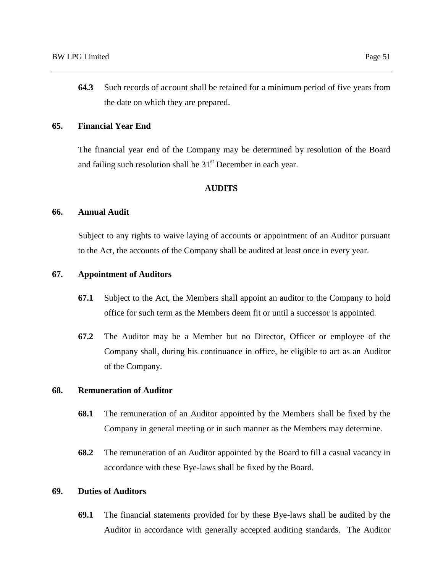**64.3** Such records of account shall be retained for a minimum period of five years from the date on which they are prepared.

## **65. Financial Year End**

The financial year end of the Company may be determined by resolution of the Board and failing such resolution shall be  $31<sup>st</sup>$  December in each year.

## **AUDITS**

## **66. Annual Audit**

Subject to any rights to waive laying of accounts or appointment of an Auditor pursuant to the Act, the accounts of the Company shall be audited at least once in every year.

# **67. Appointment of Auditors**

- **67.1** Subject to the Act, the Members shall appoint an auditor to the Company to hold office for such term as the Members deem fit or until a successor is appointed.
- **67.2** The Auditor may be a Member but no Director, Officer or employee of the Company shall, during his continuance in office, be eligible to act as an Auditor of the Company.

# **68. Remuneration of Auditor**

- **68.1** The remuneration of an Auditor appointed by the Members shall be fixed by the Company in general meeting or in such manner as the Members may determine.
- **68.2** The remuneration of an Auditor appointed by the Board to fill a casual vacancy in accordance with these Bye-laws shall be fixed by the Board.

# **69. Duties of Auditors**

**69.1** The financial statements provided for by these Bye-laws shall be audited by the Auditor in accordance with generally accepted auditing standards. The Auditor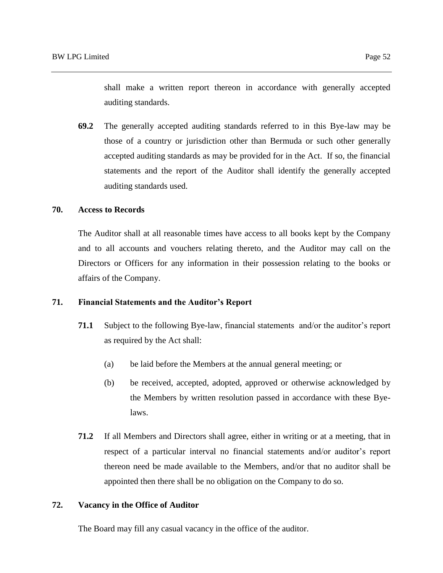shall make a written report thereon in accordance with generally accepted auditing standards.

**69.2** The generally accepted auditing standards referred to in this Bye-law may be those of a country or jurisdiction other than Bermuda or such other generally accepted auditing standards as may be provided for in the Act. If so, the financial statements and the report of the Auditor shall identify the generally accepted auditing standards used.

#### **70. Access to Records**

The Auditor shall at all reasonable times have access to all books kept by the Company and to all accounts and vouchers relating thereto, and the Auditor may call on the Directors or Officers for any information in their possession relating to the books or affairs of the Company.

#### **71. Financial Statements and the Auditor's Report**

- **71.1** Subject to the following Bye-law, financial statements and/or the auditor's report as required by the Act shall:
	- (a) be laid before the Members at the annual general meeting; or
	- (b) be received, accepted, adopted, approved or otherwise acknowledged by the Members by written resolution passed in accordance with these Byelaws.
- **71.2** If all Members and Directors shall agree, either in writing or at a meeting, that in respect of a particular interval no financial statements and/or auditor's report thereon need be made available to the Members, and/or that no auditor shall be appointed then there shall be no obligation on the Company to do so.

### **72. Vacancy in the Office of Auditor**

The Board may fill any casual vacancy in the office of the auditor.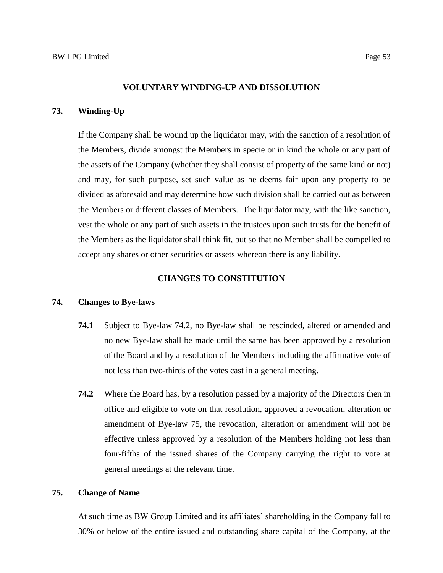#### **VOLUNTARY WINDING-UP AND DISSOLUTION**

#### **73. Winding-Up**

If the Company shall be wound up the liquidator may, with the sanction of a resolution of the Members, divide amongst the Members in specie or in kind the whole or any part of the assets of the Company (whether they shall consist of property of the same kind or not) and may, for such purpose, set such value as he deems fair upon any property to be divided as aforesaid and may determine how such division shall be carried out as between the Members or different classes of Members. The liquidator may, with the like sanction, vest the whole or any part of such assets in the trustees upon such trusts for the benefit of the Members as the liquidator shall think fit, but so that no Member shall be compelled to accept any shares or other securities or assets whereon there is any liability.

#### **CHANGES TO CONSTITUTION**

#### **74. Changes to Bye-laws**

- **74.1** Subject to Bye-law 74.2, no Bye-law shall be rescinded, altered or amended and no new Bye-law shall be made until the same has been approved by a resolution of the Board and by a resolution of the Members including the affirmative vote of not less than two-thirds of the votes cast in a general meeting.
- **74.2** Where the Board has, by a resolution passed by a majority of the Directors then in office and eligible to vote on that resolution, approved a revocation, alteration or amendment of Bye-law 75, the revocation, alteration or amendment will not be effective unless approved by a resolution of the Members holding not less than four-fifths of the issued shares of the Company carrying the right to vote at general meetings at the relevant time.

#### **75. Change of Name**

At such time as BW Group Limited and its affiliates' shareholding in the Company fall to 30% or below of the entire issued and outstanding share capital of the Company, at the